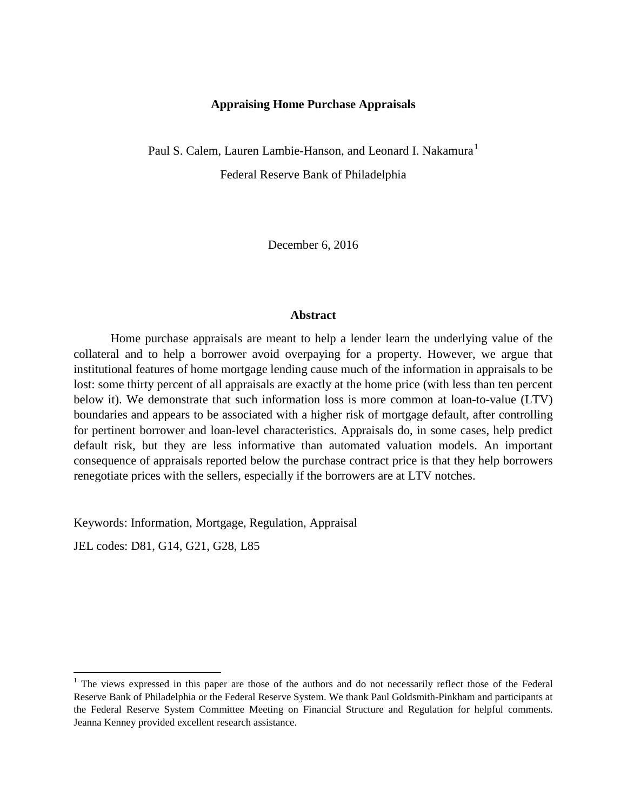## **Appraising Home Purchase Appraisals**

Paul S. Calem, Lauren Lambie-Hanson, and Leonard I. Nakamura<sup>[1](#page-0-0)</sup> Federal Reserve Bank of Philadelphia

December 6, 2016

## **Abstract**

Home purchase appraisals are meant to help a lender learn the underlying value of the collateral and to help a borrower avoid overpaying for a property. However, we argue that institutional features of home mortgage lending cause much of the information in appraisals to be lost: some thirty percent of all appraisals are exactly at the home price (with less than ten percent below it). We demonstrate that such information loss is more common at loan-to-value (LTV) boundaries and appears to be associated with a higher risk of mortgage default, after controlling for pertinent borrower and loan-level characteristics. Appraisals do, in some cases, help predict default risk, but they are less informative than automated valuation models. An important consequence of appraisals reported below the purchase contract price is that they help borrowers renegotiate prices with the sellers, especially if the borrowers are at LTV notches.

Keywords: Information, Mortgage, Regulation, Appraisal

JEL codes: D81, G14, G21, G28, L85

<span id="page-0-0"></span><sup>&</sup>lt;sup>1</sup> The views expressed in this paper are those of the authors and do not necessarily reflect those of the Federal Reserve Bank of Philadelphia or the Federal Reserve System. We thank Paul Goldsmith-Pinkham and participants at the Federal Reserve System Committee Meeting on Financial Structure and Regulation for helpful comments. Jeanna Kenney provided excellent research assistance.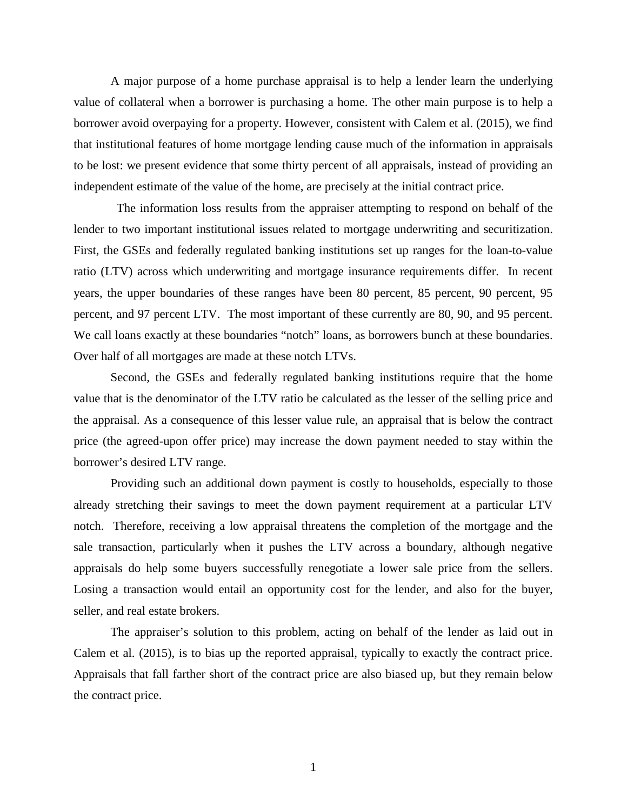A major purpose of a home purchase appraisal is to help a lender learn the underlying value of collateral when a borrower is purchasing a home. The other main purpose is to help a borrower avoid overpaying for a property. However, consistent with Calem et al. (2015), we find that institutional features of home mortgage lending cause much of the information in appraisals to be lost: we present evidence that some thirty percent of all appraisals, instead of providing an independent estimate of the value of the home, are precisely at the initial contract price.

 The information loss results from the appraiser attempting to respond on behalf of the lender to two important institutional issues related to mortgage underwriting and securitization. First, the GSEs and federally regulated banking institutions set up ranges for the loan-to-value ratio (LTV) across which underwriting and mortgage insurance requirements differ. In recent years, the upper boundaries of these ranges have been 80 percent, 85 percent, 90 percent, 95 percent, and 97 percent LTV. The most important of these currently are 80, 90, and 95 percent. We call loans exactly at these boundaries "notch" loans, as borrowers bunch at these boundaries. Over half of all mortgages are made at these notch LTVs.

Second, the GSEs and federally regulated banking institutions require that the home value that is the denominator of the LTV ratio be calculated as the lesser of the selling price and the appraisal. As a consequence of this lesser value rule, an appraisal that is below the contract price (the agreed-upon offer price) may increase the down payment needed to stay within the borrower's desired LTV range.

Providing such an additional down payment is costly to households, especially to those already stretching their savings to meet the down payment requirement at a particular LTV notch. Therefore, receiving a low appraisal threatens the completion of the mortgage and the sale transaction, particularly when it pushes the LTV across a boundary, although negative appraisals do help some buyers successfully renegotiate a lower sale price from the sellers. Losing a transaction would entail an opportunity cost for the lender, and also for the buyer, seller, and real estate brokers.

The appraiser's solution to this problem, acting on behalf of the lender as laid out in Calem et al. (2015), is to bias up the reported appraisal, typically to exactly the contract price. Appraisals that fall farther short of the contract price are also biased up, but they remain below the contract price.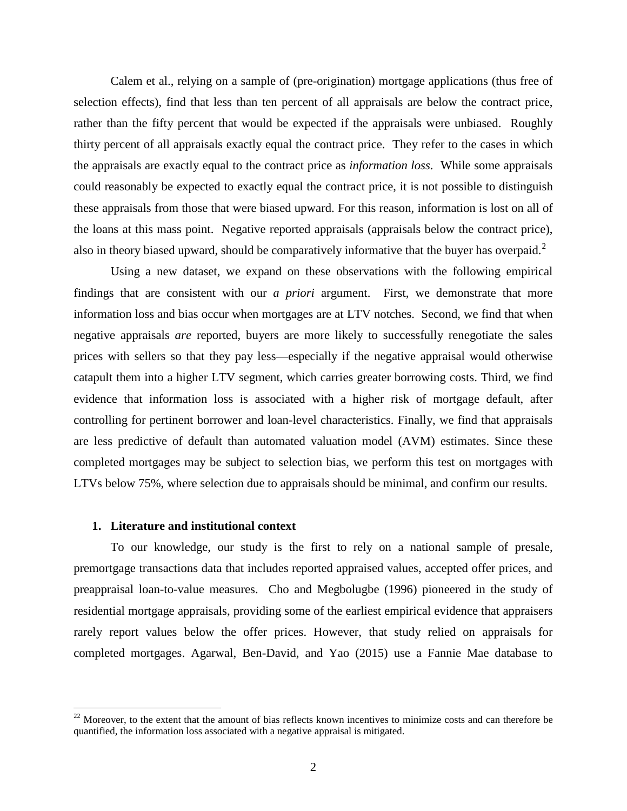Calem et al., relying on a sample of (pre-origination) mortgage applications (thus free of selection effects), find that less than ten percent of all appraisals are below the contract price, rather than the fifty percent that would be expected if the appraisals were unbiased. Roughly thirty percent of all appraisals exactly equal the contract price. They refer to the cases in which the appraisals are exactly equal to the contract price as *information loss*. While some appraisals could reasonably be expected to exactly equal the contract price, it is not possible to distinguish these appraisals from those that were biased upward. For this reason, information is lost on all of the loans at this mass point. Negative reported appraisals (appraisals below the contract price), also in theory biased upward, should be comparatively informative that the buyer has overpaid.<sup>[2](#page-2-0)</sup>

Using a new dataset, we expand on these observations with the following empirical findings that are consistent with our *a priori* argument. First, we demonstrate that more information loss and bias occur when mortgages are at LTV notches. Second, we find that when negative appraisals *are* reported, buyers are more likely to successfully renegotiate the sales prices with sellers so that they pay less—especially if the negative appraisal would otherwise catapult them into a higher LTV segment, which carries greater borrowing costs. Third, we find evidence that information loss is associated with a higher risk of mortgage default, after controlling for pertinent borrower and loan-level characteristics. Finally, we find that appraisals are less predictive of default than automated valuation model (AVM) estimates. Since these completed mortgages may be subject to selection bias, we perform this test on mortgages with LTVs below 75%, where selection due to appraisals should be minimal, and confirm our results.

## **1. Literature and institutional context**

To our knowledge, our study is the first to rely on a national sample of presale, premortgage transactions data that includes reported appraised values, accepted offer prices, and preappraisal loan-to-value measures. Cho and Megbolugbe (1996) pioneered in the study of residential mortgage appraisals, providing some of the earliest empirical evidence that appraisers rarely report values below the offer prices. However, that study relied on appraisals for completed mortgages. Agarwal, Ben-David, and Yao (2015) use a Fannie Mae database to

<span id="page-2-0"></span> $^{22}$  Moreover, to the extent that the amount of bias reflects known incentives to minimize costs and can therefore be quantified, the information loss associated with a negative appraisal is mitigated.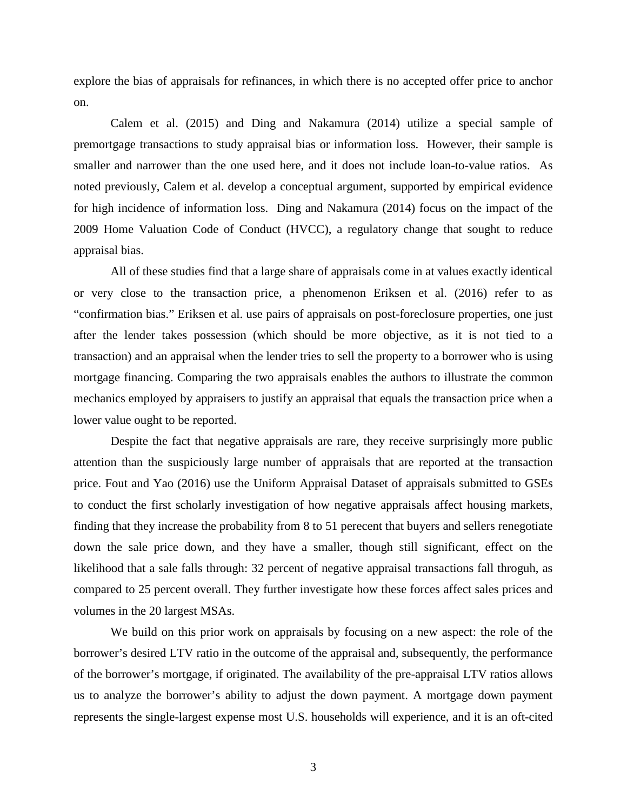explore the bias of appraisals for refinances, in which there is no accepted offer price to anchor on.

Calem et al. (2015) and Ding and Nakamura (2014) utilize a special sample of premortgage transactions to study appraisal bias or information loss. However, their sample is smaller and narrower than the one used here, and it does not include loan-to-value ratios. As noted previously, Calem et al. develop a conceptual argument, supported by empirical evidence for high incidence of information loss. Ding and Nakamura (2014) focus on the impact of the 2009 Home Valuation Code of Conduct (HVCC), a regulatory change that sought to reduce appraisal bias.

All of these studies find that a large share of appraisals come in at values exactly identical or very close to the transaction price, a phenomenon Eriksen et al. (2016) refer to as "confirmation bias." Eriksen et al. use pairs of appraisals on post-foreclosure properties, one just after the lender takes possession (which should be more objective, as it is not tied to a transaction) and an appraisal when the lender tries to sell the property to a borrower who is using mortgage financing. Comparing the two appraisals enables the authors to illustrate the common mechanics employed by appraisers to justify an appraisal that equals the transaction price when a lower value ought to be reported.

Despite the fact that negative appraisals are rare, they receive surprisingly more public attention than the suspiciously large number of appraisals that are reported at the transaction price. Fout and Yao (2016) use the Uniform Appraisal Dataset of appraisals submitted to GSEs to conduct the first scholarly investigation of how negative appraisals affect housing markets, finding that they increase the probability from 8 to 51 perecent that buyers and sellers renegotiate down the sale price down, and they have a smaller, though still significant, effect on the likelihood that a sale falls through: 32 percent of negative appraisal transactions fall throguh, as compared to 25 percent overall. They further investigate how these forces affect sales prices and volumes in the 20 largest MSAs.

We build on this prior work on appraisals by focusing on a new aspect: the role of the borrower's desired LTV ratio in the outcome of the appraisal and, subsequently, the performance of the borrower's mortgage, if originated. The availability of the pre-appraisal LTV ratios allows us to analyze the borrower's ability to adjust the down payment. A mortgage down payment represents the single-largest expense most U.S. households will experience, and it is an oft-cited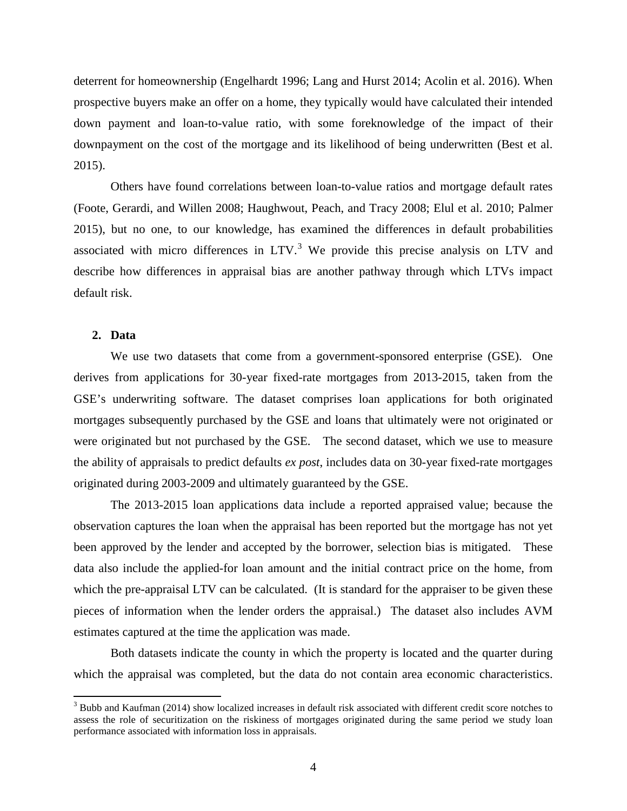deterrent for homeownership (Engelhardt 1996; Lang and Hurst 2014; Acolin et al. 2016). When prospective buyers make an offer on a home, they typically would have calculated their intended down payment and loan-to-value ratio, with some foreknowledge of the impact of their downpayment on the cost of the mortgage and its likelihood of being underwritten (Best et al. 2015).

Others have found correlations between loan-to-value ratios and mortgage default rates (Foote, Gerardi, and Willen 2008; Haughwout, Peach, and Tracy 2008; Elul et al. 2010; Palmer 2015), but no one, to our knowledge, has examined the differences in default probabilities associated with micro differences in  $LTV$ <sup>[3](#page-4-0)</sup>. We provide this precise analysis on  $LTV$  and describe how differences in appraisal bias are another pathway through which LTVs impact default risk.

## **2. Data**

We use two datasets that come from a government-sponsored enterprise (GSE). One derives from applications for 30-year fixed-rate mortgages from 2013-2015, taken from the GSE's underwriting software. The dataset comprises loan applications for both originated mortgages subsequently purchased by the GSE and loans that ultimately were not originated or were originated but not purchased by the GSE. The second dataset, which we use to measure the ability of appraisals to predict defaults *ex post*, includes data on 30-year fixed-rate mortgages originated during 2003-2009 and ultimately guaranteed by the GSE.

The 2013-2015 loan applications data include a reported appraised value; because the observation captures the loan when the appraisal has been reported but the mortgage has not yet been approved by the lender and accepted by the borrower, selection bias is mitigated. These data also include the applied-for loan amount and the initial contract price on the home, from which the pre-appraisal LTV can be calculated. (It is standard for the appraiser to be given these pieces of information when the lender orders the appraisal.) The dataset also includes AVM estimates captured at the time the application was made.

Both datasets indicate the county in which the property is located and the quarter during which the appraisal was completed, but the data do not contain area economic characteristics.

<span id="page-4-0"></span> $3$  Bubb and Kaufman (2014) show localized increases in default risk associated with different credit score notches to assess the role of securitization on the riskiness of mortgages originated during the same period we study loan performance associated with information loss in appraisals.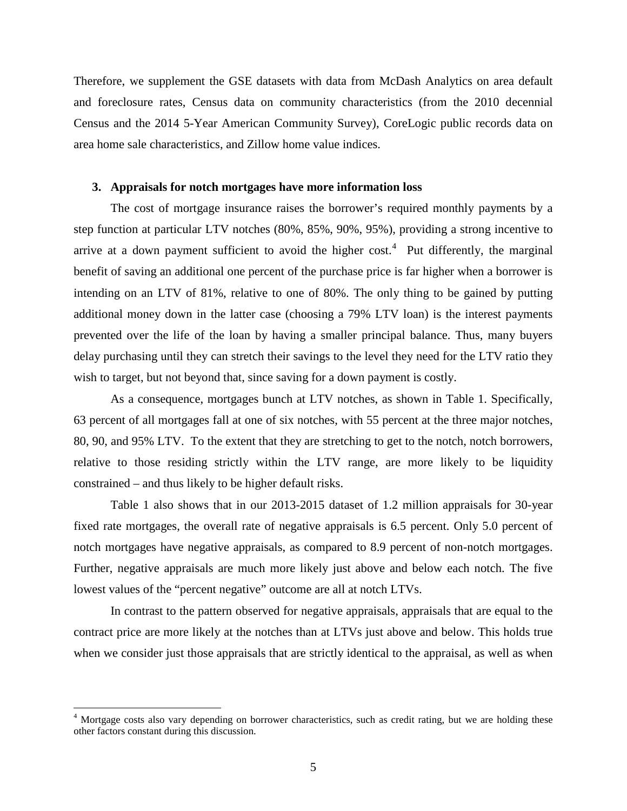Therefore, we supplement the GSE datasets with data from McDash Analytics on area default and foreclosure rates, Census data on community characteristics (from the 2010 decennial Census and the 2014 5-Year American Community Survey), CoreLogic public records data on area home sale characteristics, and Zillow home value indices.

#### **3. Appraisals for notch mortgages have more information loss**

The cost of mortgage insurance raises the borrower's required monthly payments by a step function at particular LTV notches (80%, 85%, 90%, 95%), providing a strong incentive to arrive at a down payment sufficient to avoid the higher  $cost<sup>4</sup>$  $cost<sup>4</sup>$  $cost<sup>4</sup>$ . Put differently, the marginal benefit of saving an additional one percent of the purchase price is far higher when a borrower is intending on an LTV of 81%, relative to one of 80%. The only thing to be gained by putting additional money down in the latter case (choosing a 79% LTV loan) is the interest payments prevented over the life of the loan by having a smaller principal balance. Thus, many buyers delay purchasing until they can stretch their savings to the level they need for the LTV ratio they wish to target, but not beyond that, since saving for a down payment is costly.

As a consequence, mortgages bunch at LTV notches, as shown in Table 1. Specifically, 63 percent of all mortgages fall at one of six notches, with 55 percent at the three major notches, 80, 90, and 95% LTV. To the extent that they are stretching to get to the notch, notch borrowers, relative to those residing strictly within the LTV range, are more likely to be liquidity constrained – and thus likely to be higher default risks.

Table 1 also shows that in our 2013-2015 dataset of 1.2 million appraisals for 30-year fixed rate mortgages, the overall rate of negative appraisals is 6.5 percent. Only 5.0 percent of notch mortgages have negative appraisals, as compared to 8.9 percent of non-notch mortgages. Further, negative appraisals are much more likely just above and below each notch. The five lowest values of the "percent negative" outcome are all at notch LTVs.

In contrast to the pattern observed for negative appraisals, appraisals that are equal to the contract price are more likely at the notches than at LTVs just above and below. This holds true when we consider just those appraisals that are strictly identical to the appraisal, as well as when

<span id="page-5-0"></span><sup>&</sup>lt;sup>4</sup> Mortgage costs also vary depending on borrower characteristics, such as credit rating, but we are holding these other factors constant during this discussion.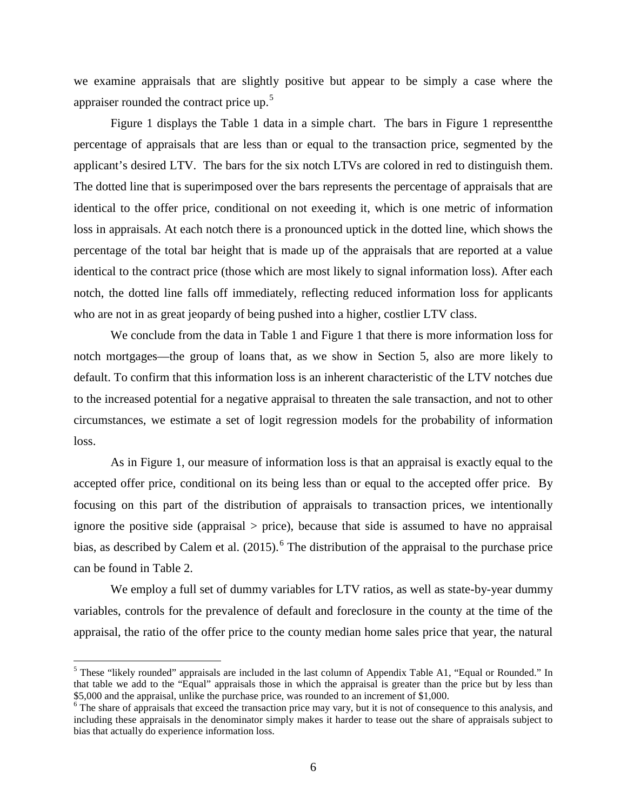we examine appraisals that are slightly positive but appear to be simply a case where the appraiser rounded the contract price up.<sup>[5](#page-6-0)</sup>

Figure 1 displays the Table 1 data in a simple chart. The bars in Figure 1 representthe percentage of appraisals that are less than or equal to the transaction price, segmented by the applicant's desired LTV. The bars for the six notch LTVs are colored in red to distinguish them. The dotted line that is superimposed over the bars represents the percentage of appraisals that are identical to the offer price, conditional on not exeeding it, which is one metric of information loss in appraisals. At each notch there is a pronounced uptick in the dotted line, which shows the percentage of the total bar height that is made up of the appraisals that are reported at a value identical to the contract price (those which are most likely to signal information loss). After each notch, the dotted line falls off immediately, reflecting reduced information loss for applicants who are not in as great jeopardy of being pushed into a higher, costlier LTV class.

We conclude from the data in Table 1 and Figure 1 that there is more information loss for notch mortgages—the group of loans that, as we show in Section 5, also are more likely to default. To confirm that this information loss is an inherent characteristic of the LTV notches due to the increased potential for a negative appraisal to threaten the sale transaction, and not to other circumstances, we estimate a set of logit regression models for the probability of information loss.

As in Figure 1, our measure of information loss is that an appraisal is exactly equal to the accepted offer price, conditional on its being less than or equal to the accepted offer price. By focusing on this part of the distribution of appraisals to transaction prices, we intentionally ignore the positive side (appraisal  $>$  price), because that side is assumed to have no appraisal bias, as described by Calem et al.  $(2015)$ .<sup>[6](#page-6-1)</sup> The distribution of the appraisal to the purchase price can be found in Table 2.

We employ a full set of dummy variables for LTV ratios, as well as state-by-year dummy variables, controls for the prevalence of default and foreclosure in the county at the time of the appraisal, the ratio of the offer price to the county median home sales price that year, the natural

<span id="page-6-0"></span> $<sup>5</sup>$  These "likely rounded" appraisals are included in the last column of Appendix Table A1, "Equal or Rounded." In</sup> that table we add to the "Equal" appraisals those in which the appraisal is greater than the price but by less than \$5,000 and the appraisal, unlike the purchase price, was rounded to an increment of \$1,000. <sup>6</sup> The share of appraisals that exceed the transaction price may vary, but it is not of consequence to this analysis, and

<span id="page-6-1"></span>including these appraisals in the denominator simply makes it harder to tease out the share of appraisals subject to bias that actually do experience information loss.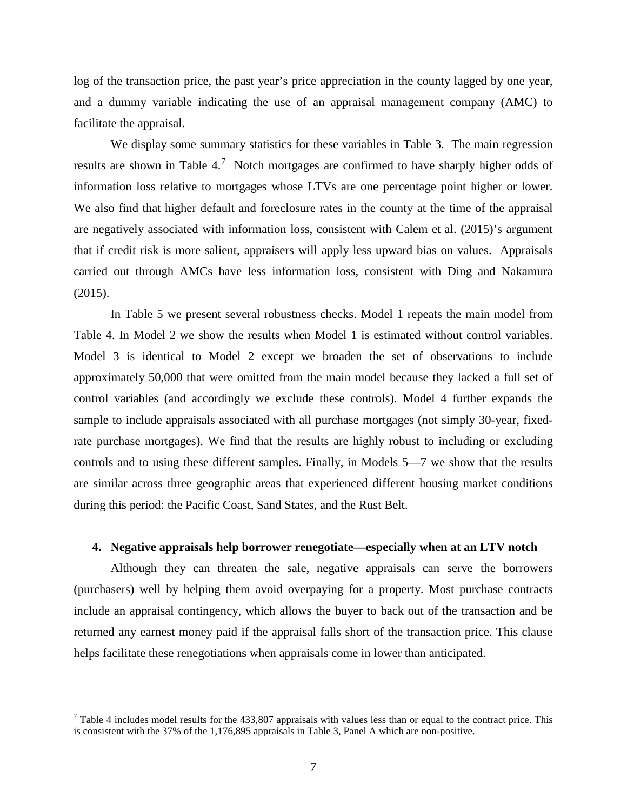log of the transaction price, the past year's price appreciation in the county lagged by one year, and a dummy variable indicating the use of an appraisal management company (AMC) to facilitate the appraisal.

We display some summary statistics for these variables in Table 3. The main regression results are shown in Table 4.<sup>[7](#page-7-0)</sup> Notch mortgages are confirmed to have sharply higher odds of information loss relative to mortgages whose LTVs are one percentage point higher or lower. We also find that higher default and foreclosure rates in the county at the time of the appraisal are negatively associated with information loss, consistent with Calem et al. (2015)'s argument that if credit risk is more salient, appraisers will apply less upward bias on values. Appraisals carried out through AMCs have less information loss, consistent with Ding and Nakamura (2015).

In Table 5 we present several robustness checks. Model 1 repeats the main model from Table 4. In Model 2 we show the results when Model 1 is estimated without control variables. Model 3 is identical to Model 2 except we broaden the set of observations to include approximately 50,000 that were omitted from the main model because they lacked a full set of control variables (and accordingly we exclude these controls). Model 4 further expands the sample to include appraisals associated with all purchase mortgages (not simply 30-year, fixedrate purchase mortgages). We find that the results are highly robust to including or excluding controls and to using these different samples. Finally, in Models 5—7 we show that the results are similar across three geographic areas that experienced different housing market conditions during this period: the Pacific Coast, Sand States, and the Rust Belt.

## **4. Negative appraisals help borrower renegotiate—especially when at an LTV notch**

Although they can threaten the sale, negative appraisals can serve the borrowers (purchasers) well by helping them avoid overpaying for a property. Most purchase contracts include an appraisal contingency, which allows the buyer to back out of the transaction and be returned any earnest money paid if the appraisal falls short of the transaction price. This clause helps facilitate these renegotiations when appraisals come in lower than anticipated.

<span id="page-7-0"></span> $<sup>7</sup>$  Table 4 includes model results for the 433,807 appraisals with values less than or equal to the contract price. This</sup> is consistent with the 37% of the 1,176,895 appraisals in Table 3, Panel A which are non-positive.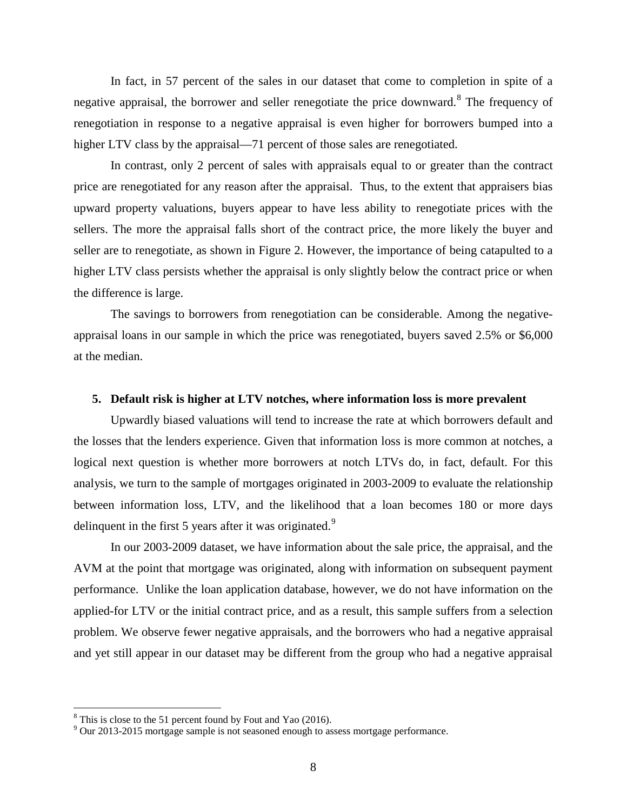In fact, in 57 percent of the sales in our dataset that come to completion in spite of a negative appraisal, the borrower and seller renegotiate the price downward.<sup>[8](#page-8-0)</sup> The frequency of renegotiation in response to a negative appraisal is even higher for borrowers bumped into a higher LTV class by the appraisal—71 percent of those sales are renegotiated.

In contrast, only 2 percent of sales with appraisals equal to or greater than the contract price are renegotiated for any reason after the appraisal. Thus, to the extent that appraisers bias upward property valuations, buyers appear to have less ability to renegotiate prices with the sellers. The more the appraisal falls short of the contract price, the more likely the buyer and seller are to renegotiate, as shown in Figure 2. However, the importance of being catapulted to a higher LTV class persists whether the appraisal is only slightly below the contract price or when the difference is large.

The savings to borrowers from renegotiation can be considerable. Among the negativeappraisal loans in our sample in which the price was renegotiated, buyers saved 2.5% or \$6,000 at the median.

#### **5. Default risk is higher at LTV notches, where information loss is more prevalent**

Upwardly biased valuations will tend to increase the rate at which borrowers default and the losses that the lenders experience. Given that information loss is more common at notches, a logical next question is whether more borrowers at notch LTVs do, in fact, default. For this analysis, we turn to the sample of mortgages originated in 2003-2009 to evaluate the relationship between information loss, LTV, and the likelihood that a loan becomes 180 or more days delinquent in the first 5 years after it was originated.<sup>[9](#page-8-1)</sup>

In our 2003-2009 dataset, we have information about the sale price, the appraisal, and the AVM at the point that mortgage was originated, along with information on subsequent payment performance. Unlike the loan application database, however, we do not have information on the applied-for LTV or the initial contract price, and as a result, this sample suffers from a selection problem. We observe fewer negative appraisals, and the borrowers who had a negative appraisal and yet still appear in our dataset may be different from the group who had a negative appraisal

<span id="page-8-1"></span>

<span id="page-8-0"></span><sup>&</sup>lt;sup>8</sup> This is close to the 51 percent found by Fout and Yao (2016).<br><sup>9</sup> Our 2013-2015 mortgage sample is not seasoned enough to assess mortgage performance.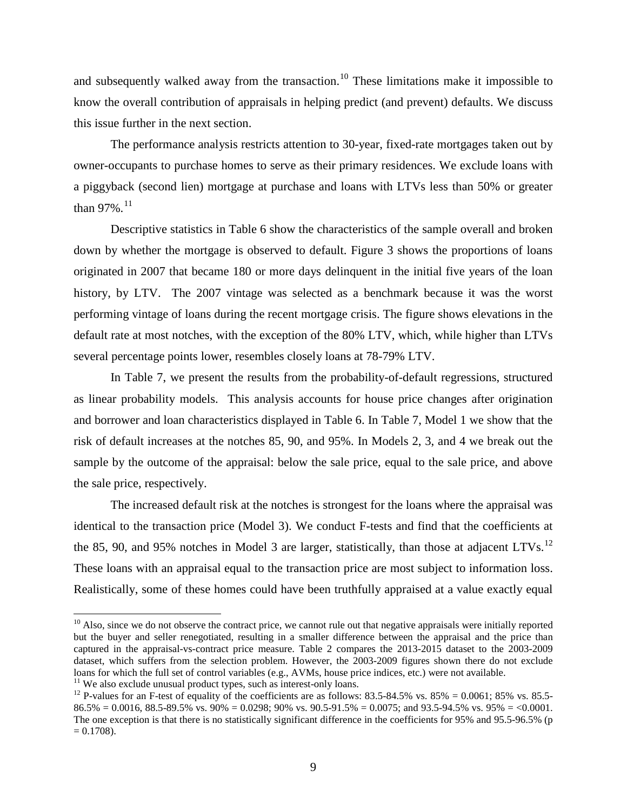and subsequently walked away from the transaction.<sup>[10](#page-9-0)</sup> These limitations make it impossible to know the overall contribution of appraisals in helping predict (and prevent) defaults. We discuss this issue further in the next section.

The performance analysis restricts attention to 30-year, fixed-rate mortgages taken out by owner-occupants to purchase homes to serve as their primary residences. We exclude loans with a piggyback (second lien) mortgage at purchase and loans with LTVs less than 50% or greater than 97%.<sup>[11](#page-9-1)</sup>

Descriptive statistics in Table 6 show the characteristics of the sample overall and broken down by whether the mortgage is observed to default. Figure 3 shows the proportions of loans originated in 2007 that became 180 or more days delinquent in the initial five years of the loan history, by LTV. The 2007 vintage was selected as a benchmark because it was the worst performing vintage of loans during the recent mortgage crisis. The figure shows elevations in the default rate at most notches, with the exception of the 80% LTV, which, while higher than LTVs several percentage points lower, resembles closely loans at 78-79% LTV.

In Table 7, we present the results from the probability-of-default regressions, structured as linear probability models. This analysis accounts for house price changes after origination and borrower and loan characteristics displayed in Table 6. In Table 7, Model 1 we show that the risk of default increases at the notches 85, 90, and 95%. In Models 2, 3, and 4 we break out the sample by the outcome of the appraisal: below the sale price, equal to the sale price, and above the sale price, respectively.

The increased default risk at the notches is strongest for the loans where the appraisal was identical to the transaction price (Model 3). We conduct F-tests and find that the coefficients at the 85, 90, and 95% notches in Model 3 are larger, statistically, than those at adjacent LTVs.<sup>[12](#page-9-2)</sup> These loans with an appraisal equal to the transaction price are most subject to information loss. Realistically, some of these homes could have been truthfully appraised at a value exactly equal

<span id="page-9-0"></span> $10$  Also, since we do not observe the contract price, we cannot rule out that negative appraisals were initially reported but the buyer and seller renegotiated, resulting in a smaller difference between the appraisal and the price than captured in the appraisal-vs-contract price measure. Table 2 compares the 2013-2015 dataset to the 2003-2009 dataset, which suffers from the selection problem. However, the 2003-2009 figures shown there do not exclude loans for which the full set of control variables (e.g., AVMs, house price indices, etc.) were not available.<br><sup>11</sup> We also exclude unusual product types, such as interest-only loans.

<span id="page-9-1"></span>

<span id="page-9-2"></span><sup>&</sup>lt;sup>12</sup> P-values for an F-test of equality of the coefficients are as follows: 83.5-84.5% vs. 85% = 0.0061; 85% vs. 85.5- $86.5\% = 0.0016$ ,  $88.5-89.5\%$  vs.  $90\% = 0.0298$ ;  $90\%$  vs.  $90.5-91.5\% = 0.0075$ ; and  $93.5-94.5\%$  vs.  $95\% = 0.0001$ . The one exception is that there is no statistically significant difference in the coefficients for 95% and 95.5-96.5% (p  $= 0.1708$ .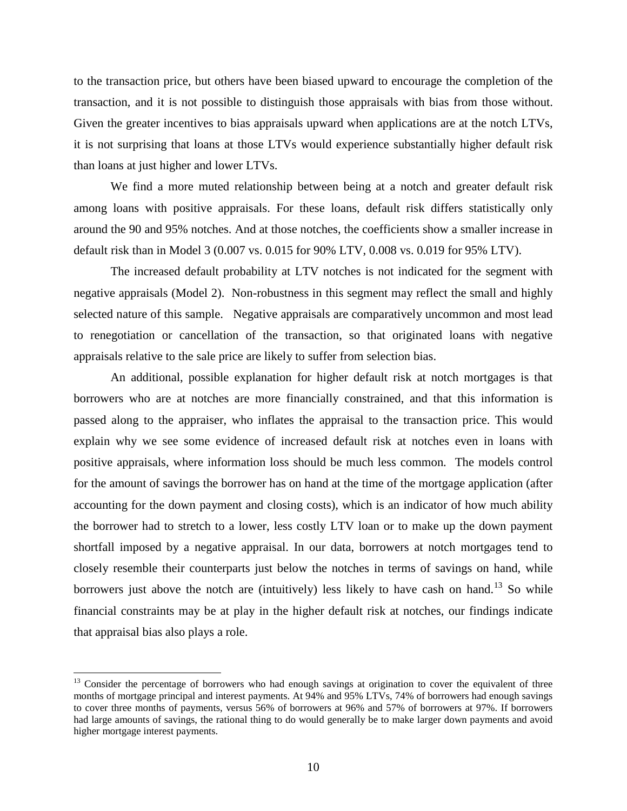to the transaction price, but others have been biased upward to encourage the completion of the transaction, and it is not possible to distinguish those appraisals with bias from those without. Given the greater incentives to bias appraisals upward when applications are at the notch LTVs, it is not surprising that loans at those LTVs would experience substantially higher default risk than loans at just higher and lower LTVs.

We find a more muted relationship between being at a notch and greater default risk among loans with positive appraisals. For these loans, default risk differs statistically only around the 90 and 95% notches. And at those notches, the coefficients show a smaller increase in default risk than in Model 3 (0.007 vs. 0.015 for 90% LTV, 0.008 vs. 0.019 for 95% LTV).

The increased default probability at LTV notches is not indicated for the segment with negative appraisals (Model 2). Non-robustness in this segment may reflect the small and highly selected nature of this sample. Negative appraisals are comparatively uncommon and most lead to renegotiation or cancellation of the transaction, so that originated loans with negative appraisals relative to the sale price are likely to suffer from selection bias.

An additional, possible explanation for higher default risk at notch mortgages is that borrowers who are at notches are more financially constrained, and that this information is passed along to the appraiser, who inflates the appraisal to the transaction price. This would explain why we see some evidence of increased default risk at notches even in loans with positive appraisals, where information loss should be much less common. The models control for the amount of savings the borrower has on hand at the time of the mortgage application (after accounting for the down payment and closing costs), which is an indicator of how much ability the borrower had to stretch to a lower, less costly LTV loan or to make up the down payment shortfall imposed by a negative appraisal. In our data, borrowers at notch mortgages tend to closely resemble their counterparts just below the notches in terms of savings on hand, while borrowers just above the notch are (intuitively) less likely to have cash on hand.<sup>[13](#page-10-0)</sup> So while financial constraints may be at play in the higher default risk at notches, our findings indicate that appraisal bias also plays a role.

<span id="page-10-0"></span><sup>&</sup>lt;sup>13</sup> Consider the percentage of borrowers who had enough savings at origination to cover the equivalent of three months of mortgage principal and interest payments. At 94% and 95% LTVs, 74% of borrowers had enough savings to cover three months of payments, versus 56% of borrowers at 96% and 57% of borrowers at 97%. If borrowers had large amounts of savings, the rational thing to do would generally be to make larger down payments and avoid higher mortgage interest payments.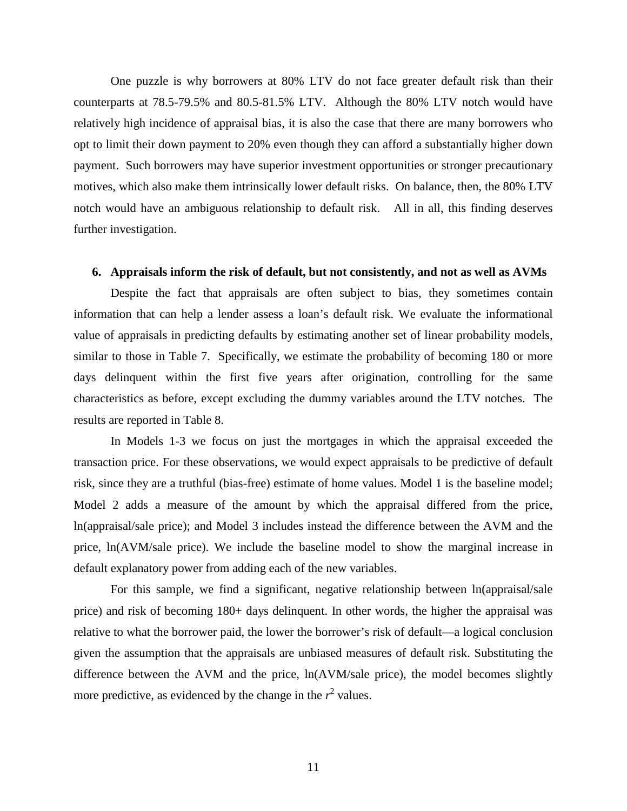One puzzle is why borrowers at 80% LTV do not face greater default risk than their counterparts at 78.5-79.5% and 80.5-81.5% LTV. Although the 80% LTV notch would have relatively high incidence of appraisal bias, it is also the case that there are many borrowers who opt to limit their down payment to 20% even though they can afford a substantially higher down payment. Such borrowers may have superior investment opportunities or stronger precautionary motives, which also make them intrinsically lower default risks. On balance, then, the 80% LTV notch would have an ambiguous relationship to default risk. All in all, this finding deserves further investigation.

#### **6. Appraisals inform the risk of default, but not consistently, and not as well as AVMs**

Despite the fact that appraisals are often subject to bias, they sometimes contain information that can help a lender assess a loan's default risk. We evaluate the informational value of appraisals in predicting defaults by estimating another set of linear probability models, similar to those in Table 7. Specifically, we estimate the probability of becoming 180 or more days delinquent within the first five years after origination, controlling for the same characteristics as before, except excluding the dummy variables around the LTV notches. The results are reported in Table 8.

In Models 1-3 we focus on just the mortgages in which the appraisal exceeded the transaction price. For these observations, we would expect appraisals to be predictive of default risk, since they are a truthful (bias-free) estimate of home values. Model 1 is the baseline model; Model 2 adds a measure of the amount by which the appraisal differed from the price, ln(appraisal/sale price); and Model 3 includes instead the difference between the AVM and the price, ln(AVM/sale price). We include the baseline model to show the marginal increase in default explanatory power from adding each of the new variables.

For this sample, we find a significant, negative relationship between ln(appraisal/sale price) and risk of becoming 180+ days delinquent. In other words, the higher the appraisal was relative to what the borrower paid, the lower the borrower's risk of default—a logical conclusion given the assumption that the appraisals are unbiased measures of default risk. Substituting the difference between the AVM and the price, ln(AVM/sale price), the model becomes slightly more predictive, as evidenced by the change in the  $r^2$  values.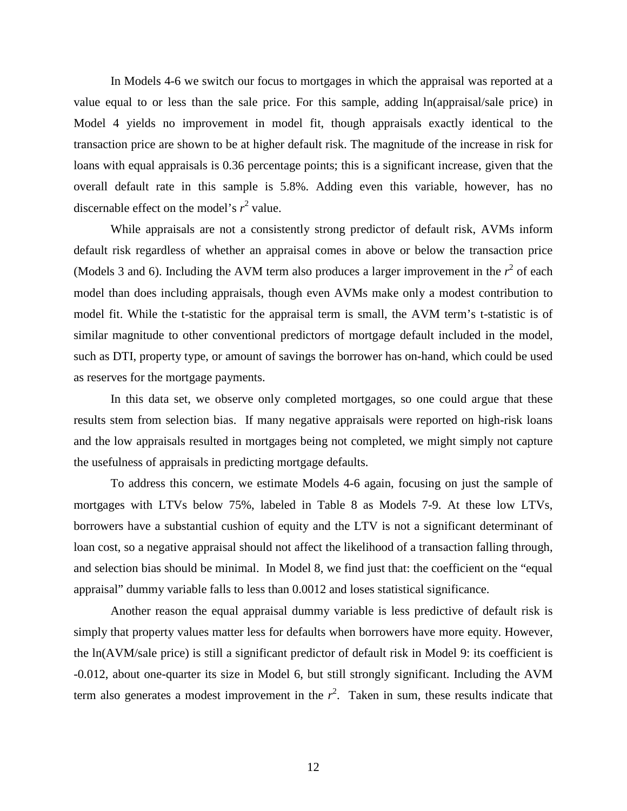In Models 4-6 we switch our focus to mortgages in which the appraisal was reported at a value equal to or less than the sale price. For this sample, adding ln(appraisal/sale price) in Model 4 yields no improvement in model fit, though appraisals exactly identical to the transaction price are shown to be at higher default risk. The magnitude of the increase in risk for loans with equal appraisals is 0.36 percentage points; this is a significant increase, given that the overall default rate in this sample is 5.8%. Adding even this variable, however, has no discernable effect on the model's  $r^2$  value.

While appraisals are not a consistently strong predictor of default risk, AVMs inform default risk regardless of whether an appraisal comes in above or below the transaction price (Models 3 and 6). Including the AVM term also produces a larger improvement in the  $r^2$  of each model than does including appraisals, though even AVMs make only a modest contribution to model fit. While the t-statistic for the appraisal term is small, the AVM term's t-statistic is of similar magnitude to other conventional predictors of mortgage default included in the model, such as DTI, property type, or amount of savings the borrower has on-hand, which could be used as reserves for the mortgage payments.

In this data set, we observe only completed mortgages, so one could argue that these results stem from selection bias. If many negative appraisals were reported on high-risk loans and the low appraisals resulted in mortgages being not completed, we might simply not capture the usefulness of appraisals in predicting mortgage defaults.

To address this concern, we estimate Models 4-6 again, focusing on just the sample of mortgages with LTVs below 75%, labeled in Table 8 as Models 7-9. At these low LTVs, borrowers have a substantial cushion of equity and the LTV is not a significant determinant of loan cost, so a negative appraisal should not affect the likelihood of a transaction falling through, and selection bias should be minimal. In Model 8, we find just that: the coefficient on the "equal appraisal" dummy variable falls to less than 0.0012 and loses statistical significance.

Another reason the equal appraisal dummy variable is less predictive of default risk is simply that property values matter less for defaults when borrowers have more equity. However, the ln(AVM/sale price) is still a significant predictor of default risk in Model 9: its coefficient is -0.012, about one-quarter its size in Model 6, but still strongly significant. Including the AVM term also generates a modest improvement in the  $r^2$ . Taken in sum, these results indicate that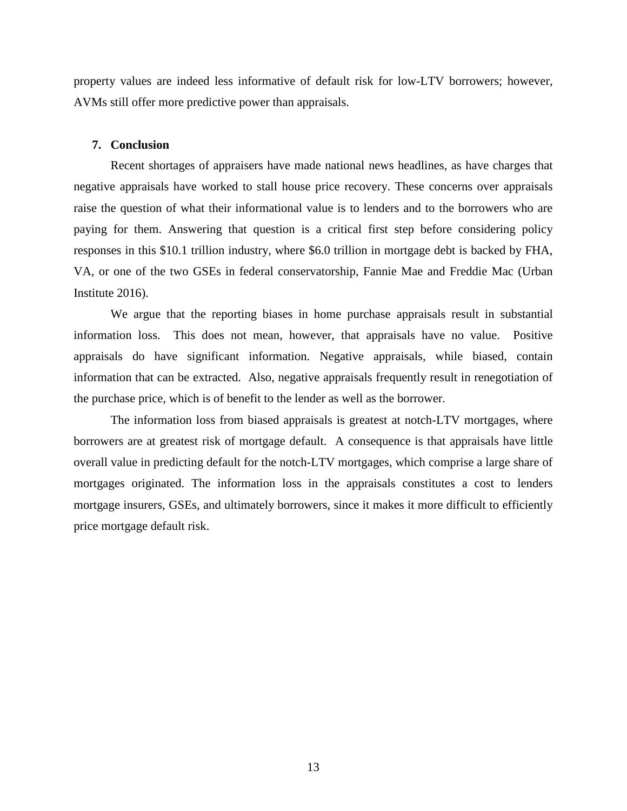property values are indeed less informative of default risk for low-LTV borrowers; however, AVMs still offer more predictive power than appraisals.

#### **7. Conclusion**

Recent shortages of appraisers have made national news headlines, as have charges that negative appraisals have worked to stall house price recovery. These concerns over appraisals raise the question of what their informational value is to lenders and to the borrowers who are paying for them. Answering that question is a critical first step before considering policy responses in this \$10.1 trillion industry, where \$6.0 trillion in mortgage debt is backed by FHA, VA, or one of the two GSEs in federal conservatorship, Fannie Mae and Freddie Mac (Urban Institute 2016).

We argue that the reporting biases in home purchase appraisals result in substantial information loss. This does not mean, however, that appraisals have no value. Positive appraisals do have significant information. Negative appraisals, while biased, contain information that can be extracted. Also, negative appraisals frequently result in renegotiation of the purchase price, which is of benefit to the lender as well as the borrower.

The information loss from biased appraisals is greatest at notch-LTV mortgages, where borrowers are at greatest risk of mortgage default. A consequence is that appraisals have little overall value in predicting default for the notch-LTV mortgages, which comprise a large share of mortgages originated. The information loss in the appraisals constitutes a cost to lenders mortgage insurers, GSEs, and ultimately borrowers, since it makes it more difficult to efficiently price mortgage default risk.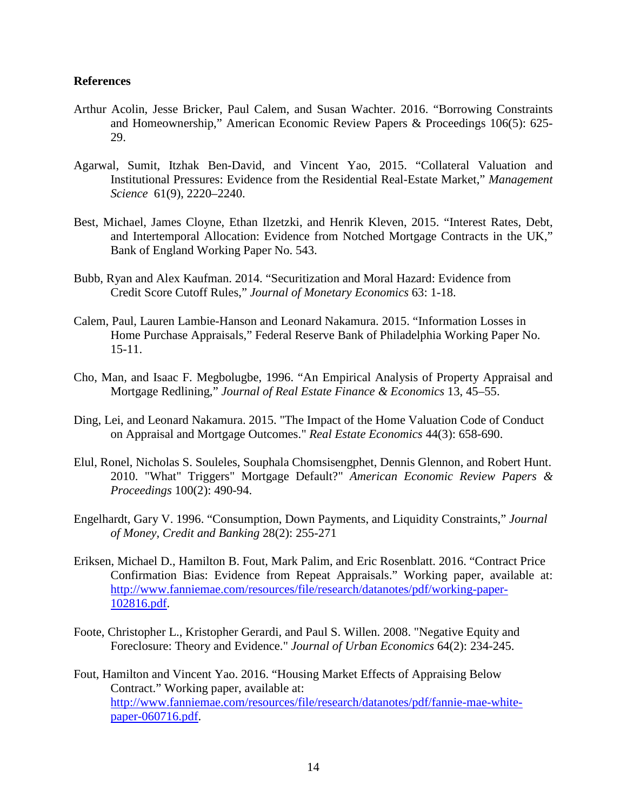## **References**

- Arthur Acolin, Jesse Bricker, Paul Calem, and Susan Wachter. 2016. "Borrowing Constraints and Homeownership," American Economic Review Papers & Proceedings 106(5): 625- 29.
- Agarwal, Sumit, Itzhak Ben-David, and Vincent Yao, 2015. "Collateral Valuation and Institutional Pressures: Evidence from the Residential Real-Estate Market," *Management Science* 61(9), 2220–2240.
- Best, Michael, James Cloyne, Ethan Ilzetzki, and Henrik Kleven, 2015. "Interest Rates, Debt, and Intertemporal Allocation: Evidence from Notched Mortgage Contracts in the UK," Bank of England Working Paper No. 543.
- Bubb, Ryan and Alex Kaufman. 2014. "Securitization and Moral Hazard: Evidence from Credit Score Cutoff Rules," *Journal of Monetary Economics* 63: 1-18.
- Calem, Paul, Lauren Lambie-Hanson and Leonard Nakamura. 2015. "Information Losses in Home Purchase Appraisals," Federal Reserve Bank of Philadelphia Working Paper No. 15-11.
- Cho, Man, and Isaac F. Megbolugbe, 1996. "An Empirical Analysis of Property Appraisal and Mortgage Redlining," *Journal of Real Estate Finance & Economics* 13, 45–55.
- Ding, Lei, and Leonard Nakamura. 2015. "The Impact of the Home Valuation Code of Conduct on Appraisal and Mortgage Outcomes." *Real Estate Economics* 44(3): 658-690.
- Elul, Ronel, Nicholas S. Souleles, Souphala Chomsisengphet, Dennis Glennon, and Robert Hunt. 2010. "What" Triggers" Mortgage Default?" *American Economic Review Papers & Proceedings* 100(2): 490-94.
- Engelhardt, Gary V. 1996. "Consumption, Down Payments, and Liquidity Constraints," *Journal of Money, Credit and Banking* 28(2): 255-271
- Eriksen, Michael D., Hamilton B. Fout, Mark Palim, and Eric Rosenblatt. 2016. "Contract Price Confirmation Bias: Evidence from Repeat Appraisals." Working paper, available at: [http://www.fanniemae.com/resources/file/research/datanotes/pdf/working-paper-](http://www.fanniemae.com/resources/file/research/datanotes/pdf/working-paper-102816.pdf)[102816.pdf.](http://www.fanniemae.com/resources/file/research/datanotes/pdf/working-paper-102816.pdf)
- Foote, Christopher L., Kristopher Gerardi, and Paul S. Willen. 2008. "Negative Equity and Foreclosure: Theory and Evidence." *Journal of Urban Economics* 64(2): 234-245.
- Fout, Hamilton and Vincent Yao. 2016. "Housing Market Effects of Appraising Below Contract." Working paper, available at: [http://www.fanniemae.com/resources/file/research/datanotes/pdf/fannie-mae-white](http://www.fanniemae.com/resources/file/research/datanotes/pdf/fannie-mae-white-paper-060716.pdf)[paper-060716.pdf.](http://www.fanniemae.com/resources/file/research/datanotes/pdf/fannie-mae-white-paper-060716.pdf)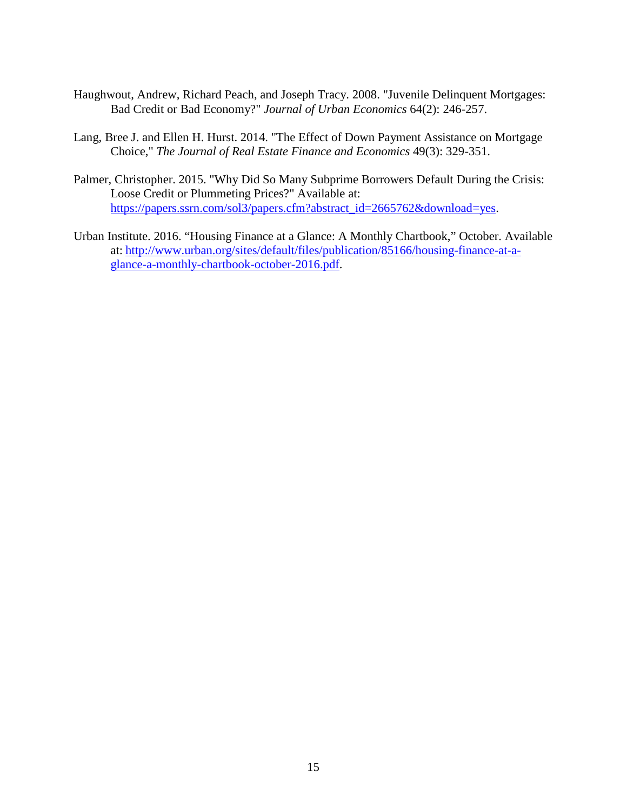- Haughwout, Andrew, Richard Peach, and Joseph Tracy. 2008. "Juvenile Delinquent Mortgages: Bad Credit or Bad Economy?" *Journal of Urban Economics* 64(2): 246-257.
- Lang, Bree J. and Ellen H. Hurst. 2014. "The Effect of Down Payment Assistance on Mortgage Choice," *The Journal of Real Estate Finance and Economics* 49(3): 329-351.
- Palmer, Christopher. 2015. "Why Did So Many Subprime Borrowers Default During the Crisis: Loose Credit or Plummeting Prices?" Available at: [https://papers.ssrn.com/sol3/papers.cfm?abstract\\_id=2665762&download=yes.](https://papers.ssrn.com/sol3/papers.cfm?abstract_id=2665762&download=yes)
- Urban Institute. 2016. "Housing Finance at a Glance: A Monthly Chartbook," October. Available at: [http://www.urban.org/sites/default/files/publication/85166/housing-finance-at-a](http://www.urban.org/sites/default/files/publication/85166/housing-finance-at-a-glance-a-monthly-chartbook-october-2016.pdf)[glance-a-monthly-chartbook-october-2016.pdf.](http://www.urban.org/sites/default/files/publication/85166/housing-finance-at-a-glance-a-monthly-chartbook-october-2016.pdf)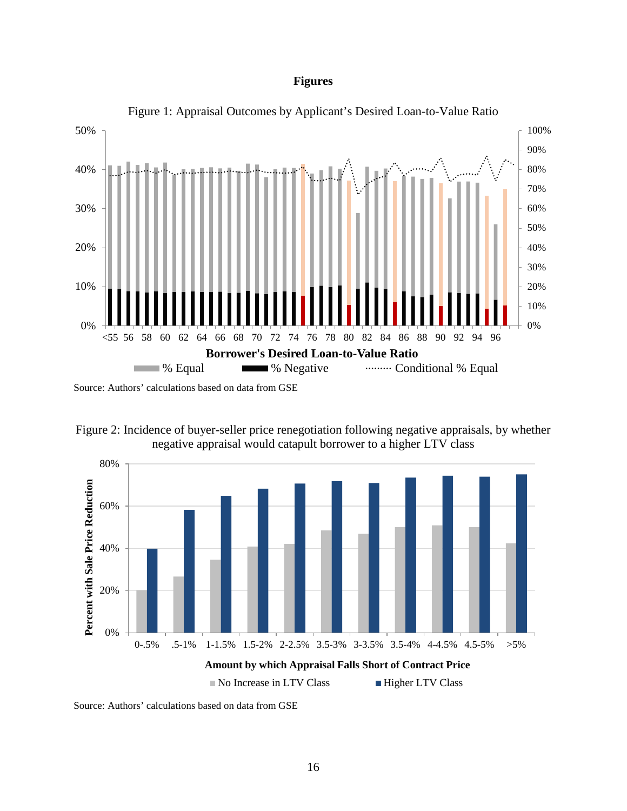## **Figures**



Figure 1: Appraisal Outcomes by Applicant's Desired Loan-to-Value Ratio

Source: Authors' calculations based on data from GSE





Source: Authors' calculations based on data from GSE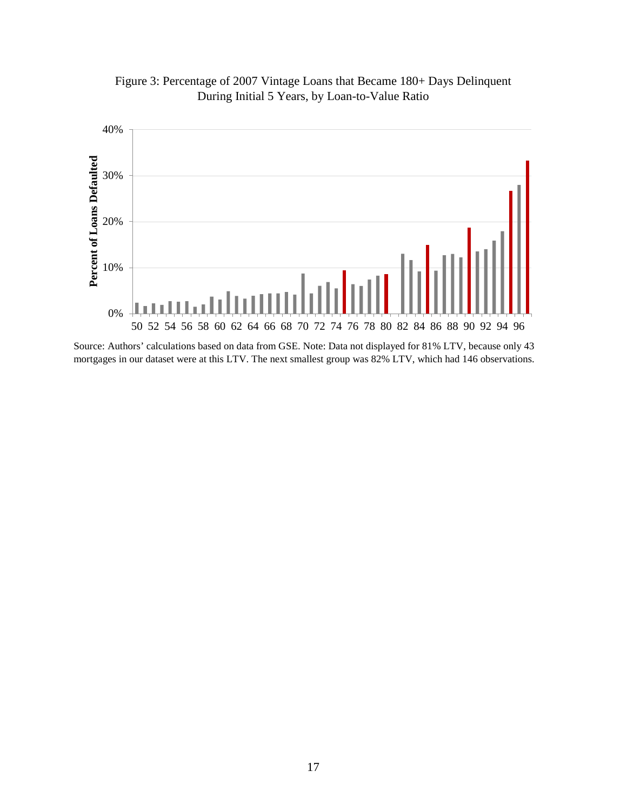

Figure 3: Percentage of 2007 Vintage Loans that Became 180+ Days Delinquent During Initial 5 Years, by Loan-to-Value Ratio

Source: Authors' calculations based on data from GSE. Note: Data not displayed for 81% LTV, because only 43 mortgages in our dataset were at this LTV. The next smallest group was 82% LTV, which had 146 observations.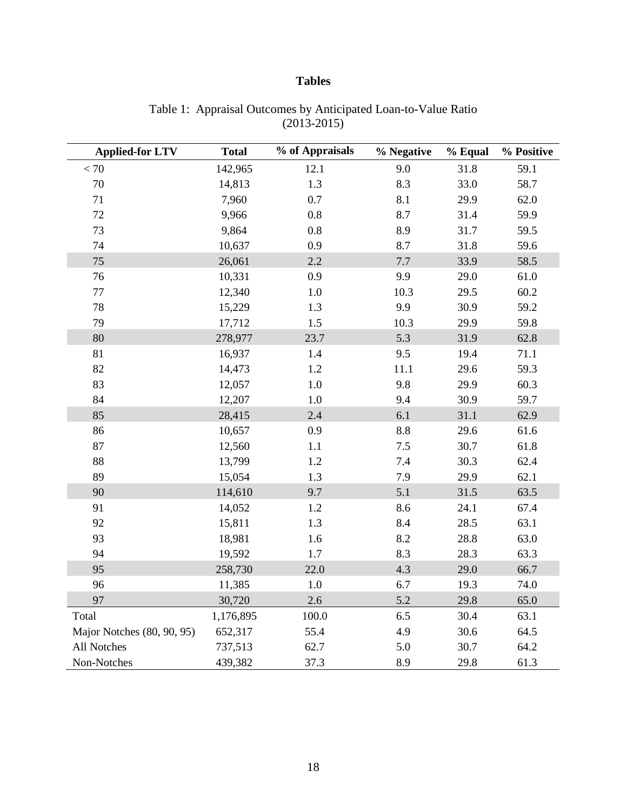## **Tables**

| <b>Applied-for LTV</b>     | <b>Total</b> | % of Appraisals | % Negative | % Equal | % Positive |
|----------------------------|--------------|-----------------|------------|---------|------------|
| $< 70$                     | 142,965      | 12.1            | 9.0        | 31.8    | 59.1       |
| $70\,$                     | 14,813       | $1.3\,$         | 8.3        | 33.0    | 58.7       |
| 71                         | 7,960        | 0.7             | 8.1        | 29.9    | 62.0       |
| 72                         | 9,966        | 0.8             | 8.7        | 31.4    | 59.9       |
| 73                         | 9,864        | 0.8             | 8.9        | 31.7    | 59.5       |
| 74                         | 10,637       | 0.9             | 8.7        | 31.8    | 59.6       |
| 75                         | 26,061       | 2.2             | 7.7        | 33.9    | 58.5       |
| 76                         | 10,331       | 0.9             | 9.9        | 29.0    | 61.0       |
| $77\,$                     | 12,340       | $1.0\,$         | 10.3       | 29.5    | 60.2       |
| 78                         | 15,229       | 1.3             | 9.9        | 30.9    | 59.2       |
| 79                         | 17,712       | 1.5             | 10.3       | 29.9    | 59.8       |
| 80                         | 278,977      | 23.7            | 5.3        | 31.9    | 62.8       |
| 81                         | 16,937       | 1.4             | 9.5        | 19.4    | 71.1       |
| 82                         | 14,473       | 1.2             | 11.1       | 29.6    | 59.3       |
| 83                         | 12,057       | $1.0\,$         | 9.8        | 29.9    | 60.3       |
| 84                         | 12,207       | $1.0\,$         | 9.4        | 30.9    | 59.7       |
| 85                         | 28,415       | 2.4             | 6.1        | 31.1    | 62.9       |
| 86                         | 10,657       | 0.9             | 8.8        | 29.6    | 61.6       |
| 87                         | 12,560       | 1.1             | 7.5        | 30.7    | 61.8       |
| 88                         | 13,799       | 1.2             | 7.4        | 30.3    | 62.4       |
| 89                         | 15,054       | 1.3             | 7.9        | 29.9    | 62.1       |
| 90                         | 114,610      | 9.7             | 5.1        | 31.5    | 63.5       |
| 91                         | 14,052       | 1.2             | 8.6        | 24.1    | 67.4       |
| 92                         | 15,811       | 1.3             | 8.4        | 28.5    | 63.1       |
| 93                         | 18,981       | 1.6             | 8.2        | 28.8    | 63.0       |
| 94                         | 19,592       | 1.7             | 8.3        | 28.3    | 63.3       |
| 95                         | 258,730      | 22.0            | 4.3        | 29.0    | 66.7       |
| 96                         | 11,385       | $1.0\,$         | 6.7        | 19.3    | 74.0       |
| 97                         | 30,720       | 2.6             | 5.2        | 29.8    | 65.0       |
| Total                      | 1,176,895    | 100.0           | 6.5        | 30.4    | 63.1       |
| Major Notches (80, 90, 95) | 652,317      | 55.4            | 4.9        | 30.6    | 64.5       |
| All Notches                | 737,513      | 62.7            | 5.0        | 30.7    | 64.2       |
| Non-Notches                | 439,382      | 37.3            | 8.9        | 29.8    | 61.3       |

Table 1: Appraisal Outcomes by Anticipated Loan-to-Value Ratio (2013-2015)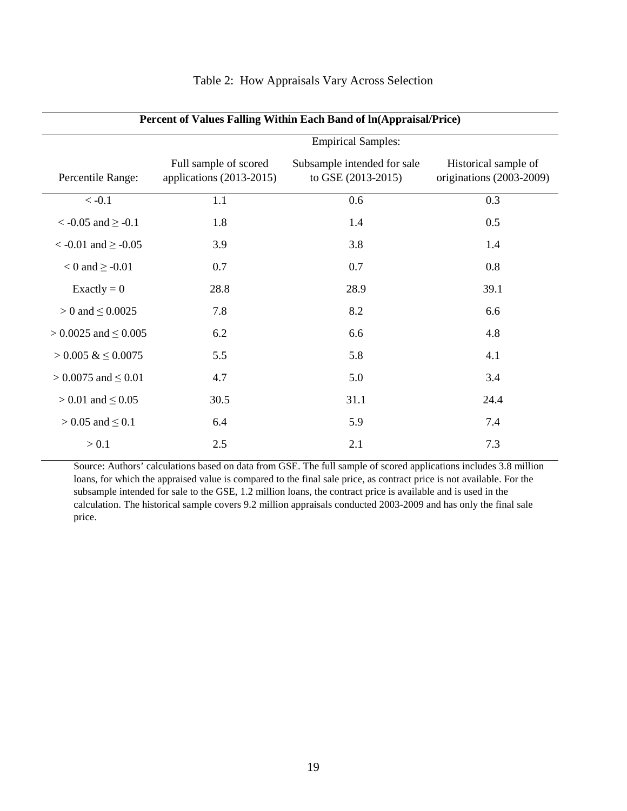| Percent of Values Falling Within Each Band of ln(Appraisal/Price) |                                                     |                                                   |                                                  |  |  |  |  |  |  |
|-------------------------------------------------------------------|-----------------------------------------------------|---------------------------------------------------|--------------------------------------------------|--|--|--|--|--|--|
|                                                                   | <b>Empirical Samples:</b>                           |                                                   |                                                  |  |  |  |  |  |  |
| Percentile Range:                                                 | Full sample of scored<br>applications $(2013-2015)$ | Subsample intended for sale<br>to GSE (2013-2015) | Historical sample of<br>originations (2003-2009) |  |  |  |  |  |  |
| $< -0.1$                                                          | 1.1                                                 | 0.6                                               | 0.3                                              |  |  |  |  |  |  |
| $<$ -0.05 and $\ge$ -0.1                                          | 1.8                                                 | 1.4                                               | 0.5                                              |  |  |  |  |  |  |
| $<$ -0.01 and $\ge$ -0.05                                         | 3.9                                                 | 3.8                                               | 1.4                                              |  |  |  |  |  |  |
| $< 0$ and $\geq -0.01$                                            | 0.7                                                 | 0.7                                               | 0.8                                              |  |  |  |  |  |  |
| Exactly = $0$                                                     | 28.8                                                | 28.9                                              | 39.1                                             |  |  |  |  |  |  |
| $> 0$ and $\leq 0.0025$                                           | 7.8                                                 | 8.2                                               | 6.6                                              |  |  |  |  |  |  |
| $> 0.0025$ and $\leq 0.005$                                       | 6.2                                                 | 6.6                                               | 4.8                                              |  |  |  |  |  |  |
| $> 0.005 \& 0.0075$                                               | 5.5                                                 | 5.8                                               | 4.1                                              |  |  |  |  |  |  |
| $> 0.0075$ and $\leq 0.01$                                        | 4.7                                                 | 5.0                                               | 3.4                                              |  |  |  |  |  |  |
| $> 0.01$ and $\leq 0.05$                                          | 30.5                                                | 31.1                                              | 24.4                                             |  |  |  |  |  |  |
| $> 0.05$ and $\leq 0.1$                                           | 6.4                                                 | 5.9                                               | 7.4                                              |  |  |  |  |  |  |
| > 0.1                                                             | 2.5                                                 | 2.1                                               | 7.3                                              |  |  |  |  |  |  |

#### Table 2: How Appraisals Vary Across Selection

Source: Authors' calculations based on data from GSE. The full sample of scored applications includes 3.8 million loans, for which the appraised value is compared to the final sale price, as contract price is not available. For the subsample intended for sale to the GSE, 1.2 million loans, the contract price is available and is used in the calculation. The historical sample covers 9.2 million appraisals conducted 2003-2009 and has only the final sale price.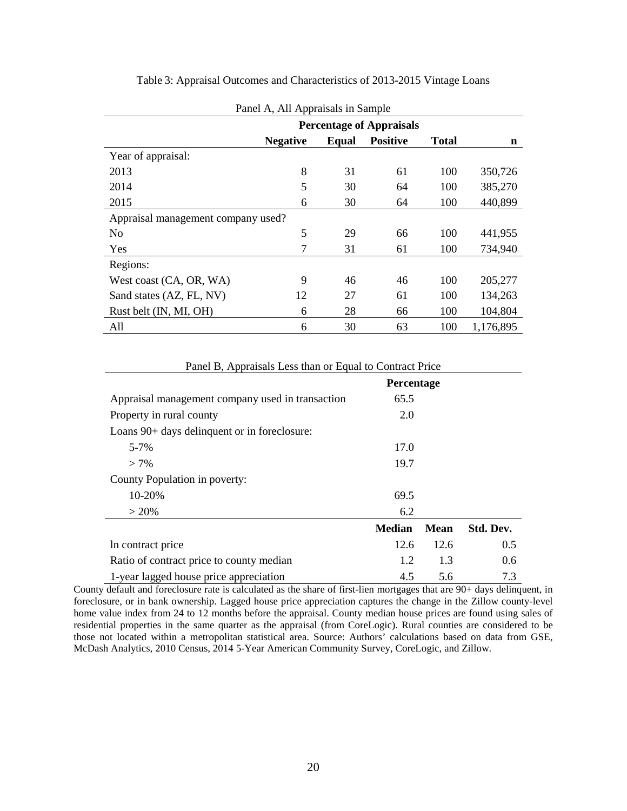| Panel A, All Appraisals in Sample  |                 |       |                 |              |             |  |  |  |
|------------------------------------|-----------------|-------|-----------------|--------------|-------------|--|--|--|
| <b>Percentage of Appraisals</b>    |                 |       |                 |              |             |  |  |  |
|                                    | <b>Negative</b> | Equal | <b>Positive</b> | <b>Total</b> | $\mathbf n$ |  |  |  |
| Year of appraisal:                 |                 |       |                 |              |             |  |  |  |
| 2013                               | 8               | 31    | 61              | 100          | 350,726     |  |  |  |
| 2014                               | 5               | 30    | 64              | 100          | 385,270     |  |  |  |
| 2015                               | 6               | 30    | 64              | 100          | 440,899     |  |  |  |
| Appraisal management company used? |                 |       |                 |              |             |  |  |  |
| N <sub>0</sub>                     | 5               | 29    | 66              | 100          | 441,955     |  |  |  |
| Yes                                |                 | 31    | 61              | 100          | 734,940     |  |  |  |
| Regions:                           |                 |       |                 |              |             |  |  |  |
| West coast (CA, OR, WA)            | 9               | 46    | 46              | 100          | 205,277     |  |  |  |
| Sand states (AZ, FL, NV)           | 12              | 27    | 61              | 100          | 134,263     |  |  |  |
| Rust belt (IN, MI, OH)             | 6               | 28    | 66              | 100          | 104,804     |  |  |  |
| All                                | 6               | 30    | 63              | 100          | 1,176,895   |  |  |  |

Table 3: Appraisal Outcomes and Characteristics of 2013-2015 Vintage Loans

|                                                  | Percentage    |      |           |
|--------------------------------------------------|---------------|------|-----------|
| Appraisal management company used in transaction | 65.5          |      |           |
| Property in rural county                         | 2.0           |      |           |
| Loans 90+ days delinquent or in foreclosure:     |               |      |           |
| $5 - 7%$                                         | 17.0          |      |           |
| $> 7\%$                                          | 19.7          |      |           |
| County Population in poverty:                    |               |      |           |
| 10-20%                                           | 69.5          |      |           |
| $> 20\%$                                         | 6.2           |      |           |
|                                                  | <b>Median</b> | Mean | Std. Dev. |
| In contract price                                | 12.6          | 12.6 | 0.5       |

Panel B, Appraisals Less than or Equal to Contract Price

County default and foreclosure rate is calculated as the share of first-lien mortgages that are 90+ days delinquent, in foreclosure, or in bank ownership. Lagged house price appreciation captures the change in the Zillow county-level home value index from 24 to 12 months before the appraisal. County median house prices are found using sales of residential properties in the same quarter as the appraisal (from CoreLogic). Rural counties are considered to be those not located within a metropolitan statistical area. Source: Authors' calculations based on data from GSE, McDash Analytics, 2010 Census, 2014 5-Year American Community Survey, CoreLogic, and Zillow.

Ratio of contract price to county median 1.2 1.3 0.6 1-year lagged house price appreciation 4.5 5.6 7.3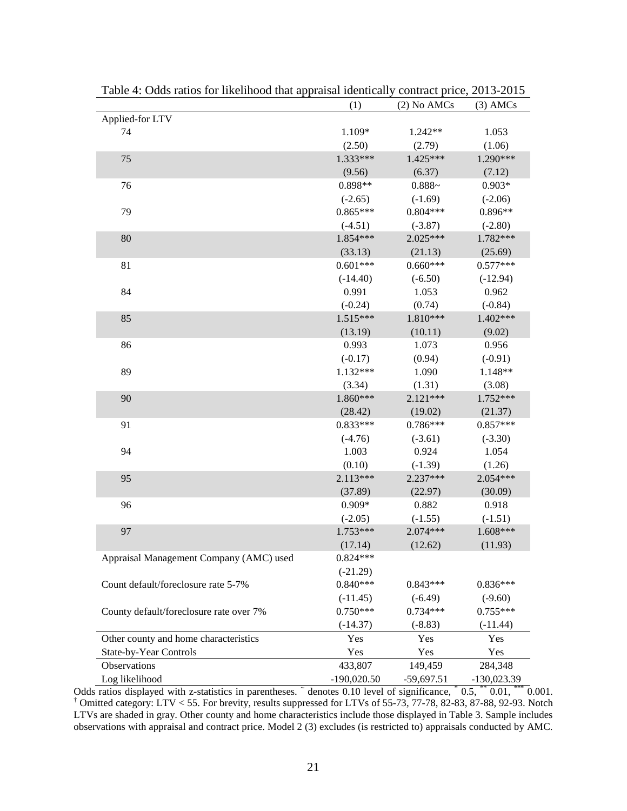|                                         | (1)           | $(2)$ No AMCs | $(3)$ AMCs    |
|-----------------------------------------|---------------|---------------|---------------|
| Applied-for LTV                         |               |               |               |
| 74                                      | 1.109*        | $1.242**$     | 1.053         |
|                                         | (2.50)        | (2.79)        | (1.06)        |
| 75                                      | 1.333***      | 1.425***      | 1.290***      |
|                                         | (9.56)        | (6.37)        | (7.12)        |
| 76                                      | 0.898**       | $0.888 -$     | $0.903*$      |
|                                         | $(-2.65)$     | $(-1.69)$     | $(-2.06)$     |
| 79                                      | $0.865***$    | $0.804***$    | 0.896**       |
|                                         | $(-4.51)$     | $(-3.87)$     | $(-2.80)$     |
| 80                                      | 1.854***      | $2.025***$    | 1.782***      |
|                                         | (33.13)       | (21.13)       | (25.69)       |
| 81                                      | $0.601***$    | $0.660***$    | $0.577***$    |
|                                         | $(-14.40)$    | $(-6.50)$     | $(-12.94)$    |
| 84                                      | 0.991         | 1.053         | 0.962         |
|                                         | $(-0.24)$     | (0.74)        | $(-0.84)$     |
| 85                                      | $1.515***$    | 1.810***      | $1.402***$    |
|                                         | (13.19)       | (10.11)       | (9.02)        |
| 86                                      | 0.993         | 1.073         | 0.956         |
|                                         | $(-0.17)$     | (0.94)        | $(-0.91)$     |
| 89                                      | 1.132***      | 1.090         | 1.148**       |
|                                         | (3.34)        | (1.31)        | (3.08)        |
| 90                                      | 1.860***      | $2.121***$    | $1.752***$    |
|                                         | (28.42)       | (19.02)       | (21.37)       |
| 91                                      | $0.833***$    | $0.786***$    | $0.857***$    |
|                                         | $(-4.76)$     | $(-3.61)$     | $(-3.30)$     |
| 94                                      | 1.003         | 0.924         | 1.054         |
|                                         | (0.10)        | $(-1.39)$     | (1.26)        |
| 95                                      | $2.113***$    | $2.237***$    | 2.054***      |
|                                         | (37.89)       | (22.97)       | (30.09)       |
| 96                                      | 0.909*        | 0.882         | 0.918         |
|                                         | $(-2.05)$     | $(-1.55)$     | $(-1.51)$     |
| 97                                      | 1.753***      | $2.074***$    | 1.608***      |
|                                         | (17.14)       | (12.62)       | (11.93)       |
| Appraisal Management Company (AMC) used | $0.824***$    |               |               |
|                                         | $(-21.29)$    |               |               |
| Count default/foreclosure rate 5-7%     | $0.840***$    | $0.843***$    | $0.836***$    |
|                                         | $(-11.45)$    | $(-6.49)$     | $(-9.60)$     |
| County default/foreclosure rate over 7% | $0.750***$    | $0.734***$    | $0.755***$    |
|                                         | $(-14.37)$    | $(-8.83)$     | $(-11.44)$    |
| Other county and home characteristics   | Yes           | Yes           | Yes           |
| State-by-Year Controls                  | Yes           | Yes           | Yes           |
| Observations                            | 433,807       | 149,459       | 284,348       |
| Log likelihood                          | $-190,020.50$ | $-59,697.51$  | $-130,023.39$ |

Table 4: Odds ratios for likelihood that appraisal identically contract price, 2013-2015

Odds ratios displayed with z-statistics in parentheses.  $\degree$  denotes 0.10 level of significance,  $\degree$  0.5,  $\degree$  0.01,  $\degree$  0.001. † Omitted category: LTV < 55. For brevity, results suppressed for LTVs of 55-73, 77-78, 82-83, 87-88, 92-93. Notch LTVs are shaded in gray. Other county and home characteristics include those displayed in Table 3. Sample includes observations with appraisal and contract price. Model 2 (3) excludes (is restricted to) appraisals conducted by AMC.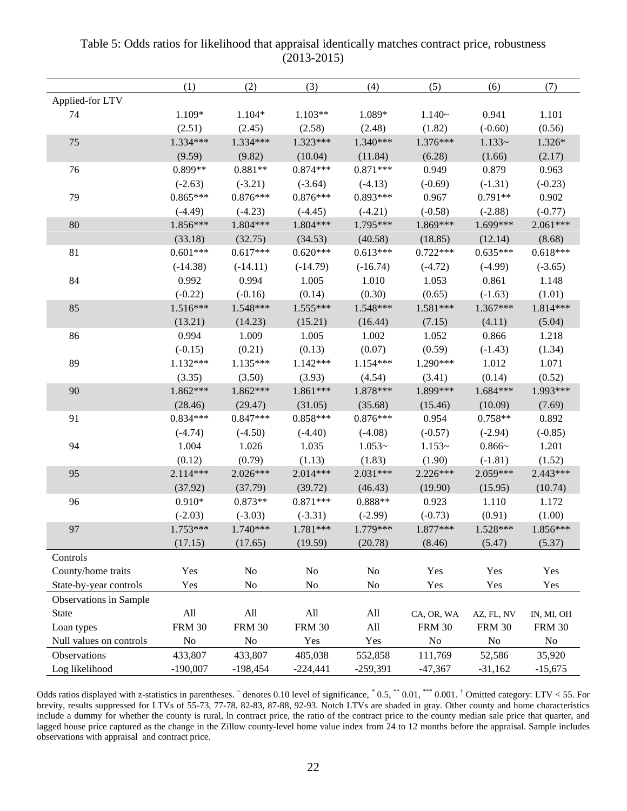|                         | (1)                         | (2)           | (3)                         | (4)        | (5)            | (6)           | (7)           |
|-------------------------|-----------------------------|---------------|-----------------------------|------------|----------------|---------------|---------------|
| Applied-for LTV         |                             |               |                             |            |                |               |               |
| 74                      | 1.109*                      | $1.104*$      | $1.103**$                   | 1.089*     | $1.140-$       | 0.941         | 1.101         |
|                         | (2.51)                      | (2.45)        | (2.58)                      | (2.48)     | (1.82)         | $(-0.60)$     | (0.56)        |
| 75                      | 1.334***                    | $1.334***$    | $1.323***$                  | $1.340***$ | $1.376***$     | $1.133-$      | 1.326*        |
|                         | (9.59)                      | (9.82)        | (10.04)                     | (11.84)    | (6.28)         | (1.66)        | (2.17)        |
| 76                      | 0.899**                     | $0.881**$     | $0.874***$                  | $0.871***$ | 0.949          | 0.879         | 0.963         |
|                         | $(-2.63)$                   | $(-3.21)$     | $(-3.64)$                   | $(-4.13)$  | $(-0.69)$      | $(-1.31)$     | $(-0.23)$     |
| 79                      | $0.865***$                  | $0.876***$    | $0.876***$                  | $0.893***$ | 0.967          | $0.791**$     | 0.902         |
|                         | $(-4.49)$                   | $(-4.23)$     | $(-4.45)$                   | $(-4.21)$  | $(-0.58)$      | $(-2.88)$     | $(-0.77)$     |
| 80                      | 1.856***                    | $1.804***$    | 1.804***                    | 1.795***   | 1.869***       | 1.699***      | $2.061***$    |
|                         | (33.18)                     | (32.75)       | (34.53)                     | (40.58)    | (18.85)        | (12.14)       | (8.68)        |
| 81                      | $0.601***$                  | $0.617***$    | $0.620***$                  | $0.613***$ | $0.722***$     | $0.635***$    | $0.618***$    |
|                         | $(-14.38)$                  | $(-14.11)$    | $(-14.79)$                  | $(-16.74)$ | $(-4.72)$      | $(-4.99)$     | $(-3.65)$     |
| 84                      | 0.992                       | 0.994         | 1.005                       | 1.010      | 1.053          | 0.861         | 1.148         |
|                         | $(-0.22)$                   | $(-0.16)$     | (0.14)                      | (0.30)     | (0.65)         | $(-1.63)$     | (1.01)        |
| 85                      | $1.516***$                  | $1.548***$    | $1.555***$                  | $1.548***$ | $1.581***$     | $1.367***$    | 1.814***      |
|                         | (13.21)                     | (14.23)       | (15.21)                     | (16.44)    | (7.15)         | (4.11)        | (5.04)        |
| 86                      | 0.994                       | 1.009         | 1.005                       | 1.002      | 1.052          | 0.866         | 1.218         |
|                         | $(-0.15)$                   | (0.21)        | (0.13)                      | (0.07)     | (0.59)         | $(-1.43)$     | (1.34)        |
| 89                      | $1.132***$                  | $1.135***$    | $1.142***$                  | 1.154***   | 1.290***       | 1.012         | 1.071         |
|                         | (3.35)                      | (3.50)        | (3.93)                      | (4.54)     | (3.41)         | (0.14)        | (0.52)        |
| 90                      | $1.862***$                  | $1.862***$    | $1.861***$                  | 1.878***   | 1.899***       | $1.684***$    | 1.993***      |
|                         | (28.46)                     | (29.47)       | (31.05)                     | (35.68)    | (15.46)        | (10.09)       | (7.69)        |
| 91                      | $0.834***$                  | $0.847***$    | $0.858***$                  | $0.876***$ | 0.954          | $0.758**$     | 0.892         |
|                         | $(-4.74)$                   | $(-4.50)$     | $(-4.40)$                   | $(-4.08)$  | $(-0.57)$      | $(-2.94)$     | $(-0.85)$     |
| 94                      | 1.004                       | 1.026         | 1.035                       | $1.053-$   | $1.153-$       | $0.866-$      | 1.201         |
|                         | (0.12)                      | (0.79)        | (1.13)                      | (1.83)     | (1.90)         | $(-1.81)$     | (1.52)        |
| 95                      | $2.114***$                  | $2.026***$    | $2.014***$                  | $2.031***$ | $2.226***$     | 2.059***      | $2.443***$    |
|                         | (37.92)                     | (37.79)       | (39.72)                     | (46.43)    | (19.90)        | (15.95)       | (10.74)       |
| 96                      | $0.910*$                    | $0.873**$     | $0.871***$                  | $0.888**$  | 0.923          | 1.110         | 1.172         |
|                         | $(-2.03)$                   | $(-3.03)$     | $(-3.31)$                   | $(-2.99)$  | $(-0.73)$      | (0.91)        | (1.00)        |
| 97                      | 1.753***                    | $1.740***$    | 1.781***                    | 1.779***   | 1.877***       | 1.528***      | 1.856***      |
|                         | (17.15)                     | (17.65)       | (19.59)                     | (20.78)    | (8.46)         | (5.47)        | (5.37)        |
| Controls                |                             |               |                             |            |                |               |               |
| County/home traits      | Yes                         | $\rm No$      | $\rm No$                    | $\rm No$   | Yes            | Yes           | Yes           |
| State-by-year controls  | Yes                         | No            | No                          | No         | Yes            | Yes           | Yes           |
| Observations in Sample  |                             |               |                             |            |                |               |               |
| State                   | $\mathop{\rm All}\nolimits$ | All           | $\mathop{\rm All}\nolimits$ | All        | CA, OR, WA     | AZ, FL, NV    | IN, MI, OH    |
| Loan types              | <b>FRM 30</b>               | <b>FRM 30</b> | <b>FRM 30</b>               | All        | <b>FRM 30</b>  | <b>FRM 30</b> | <b>FRM 30</b> |
| Null values on controls | $\rm No$                    | No            | Yes                         | Yes        | N <sub>o</sub> | $\rm No$      | $\rm No$      |
| Observations            | 433,807                     | 433,807       | 485,038                     | 552,858    | 111,769        | 52,586        | 35,920        |
| Log likelihood          | $-190,007$                  | $-198,454$    | $-224,441$                  | $-259,391$ | $-47,367$      | $-31,162$     | $-15,675$     |

Table 5: Odds ratios for likelihood that appraisal identically matches contract price, robustness (2013-2015)

Odds ratios displayed with z-statistics in parentheses.  $\tilde{ }$  denotes 0.10 level of significance,  $\tilde{ }$  0.5,  $\tilde{ }$  0.01,  $\tilde{ }$  0.001.  $\tilde{ }$  Omitted category: LTV < 55. For brevity, results suppressed for LTVs of 55-73, 77-78, 82-83, 87-88, 92-93. Notch LTVs are shaded in gray. Other county and home characteristics include a dummy for whether the county is rural, ln contract price, the ratio of the contract price to the county median sale price that quarter, and lagged house price captured as the change in the Zillow county-level home value index from 24 to 12 months before the appraisal. Sample includes observations with appraisal and contract price.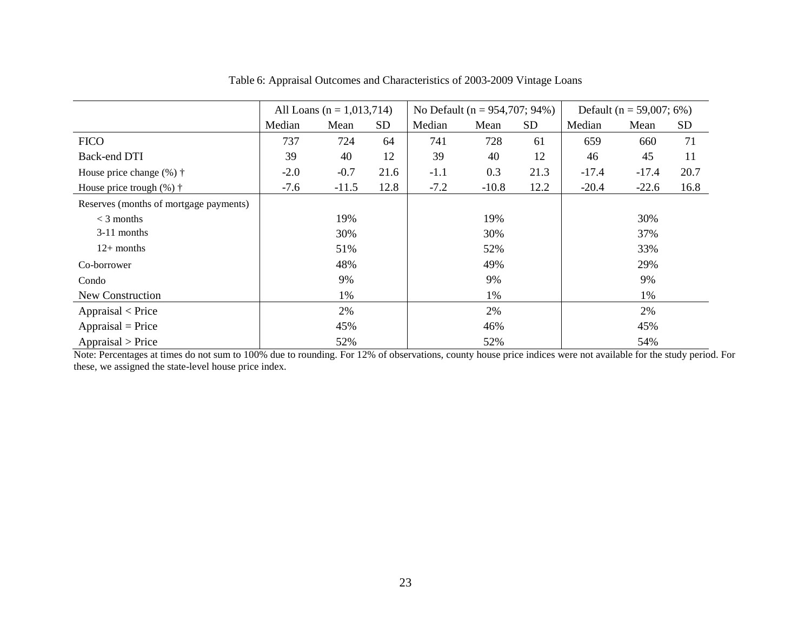|                                        | All Loans ( $n = 1,013,714$ ) |         |           | No Default ( $n = 954,707; 94\%)$ |         |           | Default ( $n = 59,007; 6\%)$ |         |           |
|----------------------------------------|-------------------------------|---------|-----------|-----------------------------------|---------|-----------|------------------------------|---------|-----------|
|                                        | Median                        | Mean    | <b>SD</b> | Median                            | Mean    | <b>SD</b> | Median                       | Mean    | <b>SD</b> |
| <b>FICO</b>                            | 737                           | 724     | 64        | 741                               | 728     | 61        | 659                          | 660     | 71        |
| Back-end DTI                           | 39                            | 40      | 12        | 39                                | 40      | 12        | 46                           | 45      | 11        |
| House price change $(\%)$ $\dagger$    | $-2.0$                        | $-0.7$  | 21.6      | $-1.1$                            | 0.3     | 21.3      | $-17.4$                      | $-17.4$ | 20.7      |
| House price trough $(\%)$ $\dagger$    | $-7.6$                        | $-11.5$ | 12.8      | $-7.2$                            | $-10.8$ | 12.2      | $-20.4$                      | $-22.6$ | 16.8      |
| Reserves (months of mortgage payments) |                               |         |           |                                   |         |           |                              |         |           |
| $<$ 3 months                           |                               | 19%     |           |                                   | 19%     |           |                              | 30%     |           |
| 3-11 months                            |                               | 30%     |           |                                   | 30%     |           |                              | 37%     |           |
| $12+$ months                           |                               | 51%     |           |                                   | 52%     |           |                              | 33%     |           |
| Co-borrower                            |                               | 48%     |           |                                   | 49%     |           |                              | 29%     |           |
| Condo                                  |                               | 9%      |           |                                   | 9%      |           |                              | 9%      |           |
| New Construction                       |                               | 1%      |           |                                   | 1%      |           |                              | 1%      |           |
| $A$ ppraisal < Price                   |                               | 2%      |           |                                   | 2%      |           |                              | 2%      |           |
| $Appraisal = Price$                    |                               | 45%     |           |                                   | 46%     |           |                              | 45%     |           |
| Appraisal > Price                      |                               | 52%     |           |                                   | 52%     |           |                              | 54%     |           |

Table 6: Appraisal Outcomes and Characteristics of 2003-2009 Vintage Loans

Note: Percentages at times do not sum to 100% due to rounding. For 12% of observations, county house price indices were not available for the study period. For these, we assigned the state-level house price index.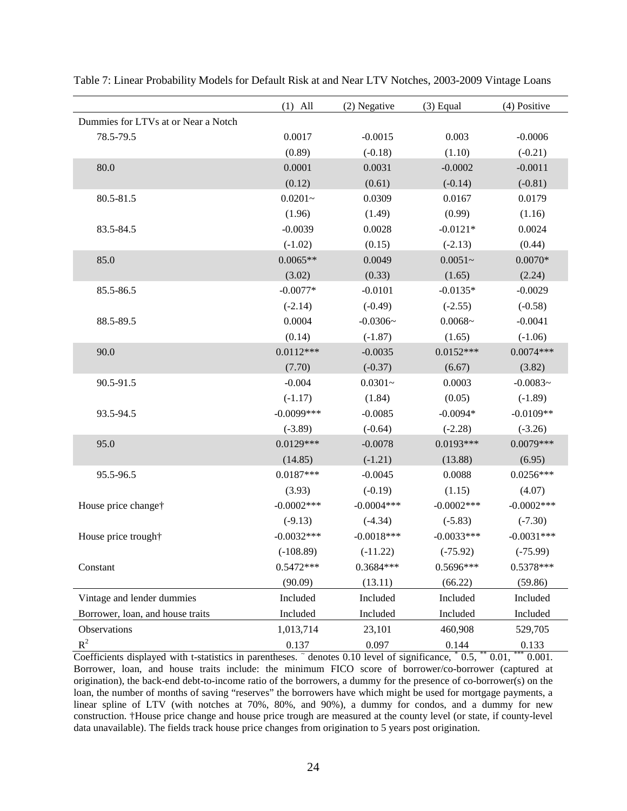|                                     | $(1)$ All    | (2) Negative | $(3)$ Equal  | (4) Positive  |
|-------------------------------------|--------------|--------------|--------------|---------------|
| Dummies for LTVs at or Near a Notch |              |              |              |               |
| 78.5-79.5                           | 0.0017       | $-0.0015$    | 0.003        | $-0.0006$     |
|                                     | (0.89)       | $(-0.18)$    | (1.10)       | $(-0.21)$     |
| 80.0                                | 0.0001       | 0.0031       | $-0.0002$    | $-0.0011$     |
|                                     | (0.12)       | (0.61)       | $(-0.14)$    | $(-0.81)$     |
| 80.5-81.5                           | $0.0201 -$   | 0.0309       | 0.0167       | 0.0179        |
|                                     | (1.96)       | (1.49)       | (0.99)       | (1.16)        |
| 83.5-84.5                           | $-0.0039$    | 0.0028       | $-0.0121*$   | 0.0024        |
|                                     | $(-1.02)$    | (0.15)       | $(-2.13)$    | (0.44)        |
| 85.0                                | $0.0065**$   | 0.0049       | $0.0051 -$   | $0.0070*$     |
|                                     | (3.02)       | (0.33)       | (1.65)       | (2.24)        |
| 85.5-86.5                           | $-0.0077*$   | $-0.0101$    | $-0.0135*$   | $-0.0029$     |
|                                     | $(-2.14)$    | $(-0.49)$    | $(-2.55)$    | $(-0.58)$     |
| 88.5-89.5                           | 0.0004       | $-0.0306-$   | $0.0068 -$   | $-0.0041$     |
|                                     | (0.14)       | $(-1.87)$    | (1.65)       | $(-1.06)$     |
| 90.0                                | $0.0112***$  | $-0.0035$    | $0.0152***$  | $0.0074***$   |
|                                     | (7.70)       | $(-0.37)$    | (6.67)       | (3.82)        |
| 90.5-91.5                           | $-0.004$     | $0.0301 -$   | 0.0003       | $-0.0083-$    |
|                                     | $(-1.17)$    | (1.84)       | (0.05)       | $(-1.89)$     |
| 93.5-94.5                           | $-0.0099***$ | $-0.0085$    | $-0.0094*$   | $-0.0109**$   |
|                                     | $(-3.89)$    | $(-0.64)$    | $(-2.28)$    | $(-3.26)$     |
| 95.0                                | $0.0129***$  | $-0.0078$    | $0.0193***$  | $0.0079***$   |
|                                     | (14.85)      | $(-1.21)$    | (13.88)      | (6.95)        |
| 95.5-96.5                           | $0.0187***$  | $-0.0045$    | 0.0088       | $0.0256***$   |
|                                     | (3.93)       | $(-0.19)$    | (1.15)       | (4.07)        |
| House price change†                 | $-0.0002***$ | $-0.0004***$ | $-0.0002***$ | $-0.0002$ *** |
|                                     | $(-9.13)$    | $(-4.34)$    | $(-5.83)$    | $(-7.30)$     |
| House price trough†                 | $-0.0032***$ | $-0.0018***$ | $-0.0033***$ | $-0.0031***$  |
|                                     | $(-108.89)$  | $(-11.22)$   | $(-75.92)$   | $(-75.99)$    |
| Constant                            | $0.5472***$  | 0.3684***    | 0.5696***    | 0.5378***     |
|                                     | (90.09)      | (13.11)      | (66.22)      | (59.86)       |
| Vintage and lender dummies          | Included     | Included     | Included     | Included      |
| Borrower, loan, and house traits    | Included     | Included     | Included     | Included      |
| Observations                        | 1,013,714    | 23,101       | 460,908      | 529,705       |
| $R^2$                               | 0.137        | 0.097        | 0.144        | 0.133         |

Table 7: Linear Probability Models for Default Risk at and Near LTV Notches, 2003-2009 Vintage Loans

Coefficients displayed with t-statistics in parentheses.  $\tilde{ }$  denotes 0.10 level of significance,  $\tilde{ }$  0.5,  $\tilde{ }$   $\tilde{ }$  0.01,  $\tilde{ }$   $\tilde{ }$  0.001. Borrower, loan, and house traits include: the minimum FICO score of borrower/co-borrower (captured at origination), the back-end debt-to-income ratio of the borrowers, a dummy for the presence of co-borrower(s) on the loan, the number of months of saving "reserves" the borrowers have which might be used for mortgage payments, a linear spline of LTV (with notches at 70%, 80%, and 90%), a dummy for condos, and a dummy for new construction. †House price change and house price trough are measured at the county level (or state, if county-level data unavailable). The fields track house price changes from origination to 5 years post origination.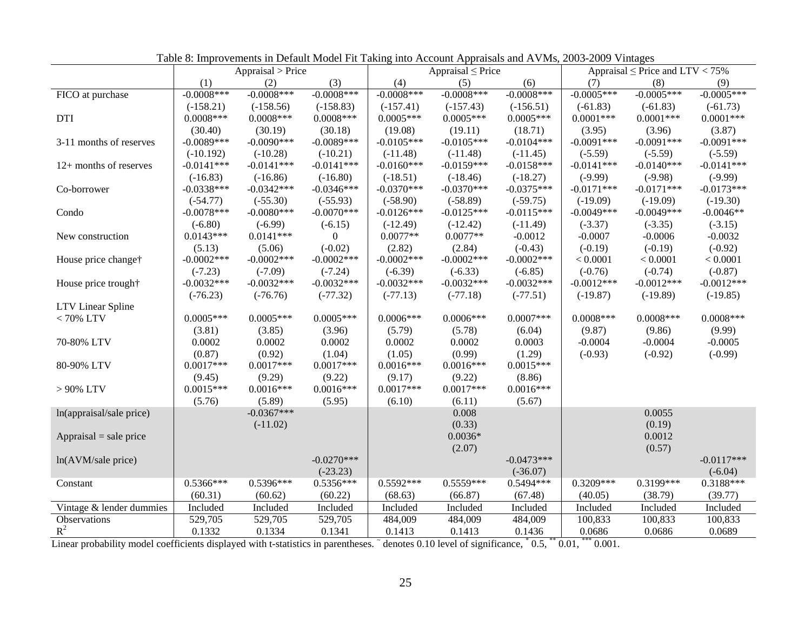|                                 |               | Appraisal > Price |               |               | Appraisal $\leq$ Price |               |              | Appraisal $\leq$ Price and LTV $<$ 75% |              |
|---------------------------------|---------------|-------------------|---------------|---------------|------------------------|---------------|--------------|----------------------------------------|--------------|
|                                 | (1)           | (2)               | (3)           | (4)           | (5)                    | (6)           | (7)          | (8)                                    | (9)          |
| FICO at purchase                | $-0.0008$ *** | $-0.0008***$      | $-0.0008***$  | $-0.0008$ *** | $-0.0008$ ***          | $-0.0008***$  | $-0.0005***$ | $-0.0005***$                           | $-0.0005***$ |
|                                 | $(-158.21)$   | $(-158.56)$       | $(-158.83)$   | $(-157.41)$   | $(-157.43)$            | $(-156.51)$   | $(-61.83)$   | $(-61.83)$                             | $(-61.73)$   |
| <b>DTI</b>                      | $0.0008***$   | $0.0008***$       | $0.0008***$   | $0.0005***$   | $0.0005***$            | $0.0005***$   | $0.0001***$  | $0.0001***$                            | $0.0001***$  |
|                                 | (30.40)       | (30.19)           | (30.18)       | (19.08)       | (19.11)                | (18.71)       | (3.95)       | (3.96)                                 | (3.87)       |
| 3-11 months of reserves         | $-0.0089***$  | $-0.0090***$      | $-0.0089***$  | $-0.0105***$  | $-0.0105***$           | $-0.0104***$  | $-0.0091***$ | $-0.0091***$                           | $-0.0091***$ |
|                                 | $(-10.192)$   | $(-10.28)$        | $(-10.21)$    | $(-11.48)$    | $(-11.48)$             | $(-11.45)$    | $(-5.59)$    | $(-5.59)$                              | $(-5.59)$    |
| 12+ months of reserves          | $-0.0141***$  | $-0.0141***$      | $-0.0141***$  | $-0.0160***$  | $-0.0159***$           | $-0.0158***$  | $-0.0141***$ | $-0.0140***$                           | $-0.0141***$ |
|                                 | $(-16.83)$    | $(-16.86)$        | $(-16.80)$    | $(-18.51)$    | $(-18.46)$             | $(-18.27)$    | $(-9.99)$    | $(-9.98)$                              | $(-9.99)$    |
| Co-borrower                     | $-0.0338***$  | $-0.0342***$      | $-0.0346***$  | $-0.0370***$  | $-0.0370***$           | $-0.0375***$  | $-0.0171***$ | $-0.0171***$                           | $-0.0173***$ |
|                                 | $(-54.77)$    | $(-55.30)$        | $(-55.93)$    | $(-58.90)$    | $(-58.89)$             | $(-59.75)$    | $(-19.09)$   | $(-19.09)$                             | $(-19.30)$   |
| Condo                           | $-0.0078***$  | $-0.0080***$      | $-0.0070***$  | $-0.0126***$  | $-0.0125***$           | $-0.0115***$  | $-0.0049***$ | $-0.0049***$                           | $-0.0046**$  |
|                                 | $(-6.80)$     | $(-6.99)$         | $(-6.15)$     | $(-12.49)$    | $(-12.42)$             | $(-11.49)$    | $(-3.37)$    | $(-3.35)$                              | $(-3.15)$    |
| New construction                | $0.0143***$   | $0.0141***$       | $\mathbf{0}$  | $0.0077**$    | $0.0077**$             | $-0.0012$     | $-0.0007$    | $-0.0006$                              | $-0.0032$    |
|                                 | (5.13)        | (5.06)            | $(-0.02)$     | (2.82)        | (2.84)                 | $(-0.43)$     | $(-0.19)$    | $(-0.19)$                              | $(-0.92)$    |
| House price change <sup>†</sup> | $-0.0002$ *** | $-0.0002$ ***     | $-0.0002$ *** | $-0.0002$ *** | $-0.0002$ ***          | $-0.0002$ *** | < 0.0001     | < 0.0001                               | < 0.0001     |
|                                 | $(-7.23)$     | $(-7.09)$         | $(-7.24)$     | $(-6.39)$     | $(-6.33)$              | $(-6.85)$     | $(-0.76)$    | $(-0.74)$                              | $(-0.87)$    |
| House price trough†             | $-0.0032***$  | $-0.0032***$      | $-0.0032***$  | $-0.0032***$  | $-0.0032***$           | $-0.0032***$  | $-0.0012***$ | $-0.0012***$                           | $-0.0012***$ |
|                                 | $(-76.23)$    | $(-76.76)$        | $(-77.32)$    | $(-77.13)$    | $(-77.18)$             | $(-77.51)$    | $(-19.87)$   | $(-19.89)$                             | $(-19.85)$   |
| LTV Linear Spline               |               |                   |               |               |                        |               |              |                                        |              |
| $<70\%$ LTV                     | $0.0005***$   | $0.0005***$       | $0.0005***$   | $0.0006***$   | $0.0006***$            | $0.0007***$   | $0.0008***$  | $0.0008***$                            | $0.0008***$  |
|                                 | (3.81)        | (3.85)            | (3.96)        | (5.79)        | (5.78)                 | (6.04)        | (9.87)       | (9.86)                                 | (9.99)       |
| 70-80% LTV                      | 0.0002        | 0.0002            | 0.0002        | 0.0002        | 0.0002                 | 0.0003        | $-0.0004$    | $-0.0004$                              | $-0.0005$    |
|                                 | (0.87)        | (0.92)            | (1.04)        | (1.05)        | (0.99)                 | (1.29)        | $(-0.93)$    | $(-0.92)$                              | $(-0.99)$    |
| 80-90% LTV                      | $0.0017***$   | $0.0017***$       | $0.0017***$   | $0.0016***$   | $0.0016***$            | $0.0015***$   |              |                                        |              |
|                                 | (9.45)        | (9.29)            | (9.22)        | (9.17)        | (9.22)                 | (8.86)        |              |                                        |              |
| $> 90\%$ LTV                    | $0.0015***$   | $0.0016***$       | $0.0016***$   | $0.0017***$   | $0.0017***$            | $0.0016***$   |              |                                        |              |
|                                 | (5.76)        | (5.89)            | (5.95)        | (6.10)        | (6.11)                 | (5.67)        |              |                                        |              |
| ln(appraisal/sale price)        |               | $-0.0367***$      |               |               | 0.008                  |               |              | 0.0055                                 |              |
|                                 |               | $(-11.02)$        |               |               | (0.33)                 |               |              | (0.19)                                 |              |
| $Appraisal = sale price$        |               |                   |               |               | $0.0036*$              |               |              | 0.0012                                 |              |
|                                 |               |                   |               |               | (2.07)                 |               |              | (0.57)                                 |              |
| ln(AVM/sale price)              |               |                   | $-0.0270$ *** |               |                        | $-0.0473***$  |              |                                        | $-0.0117***$ |
|                                 |               |                   | $(-23.23)$    |               |                        | $(-36.07)$    |              |                                        | $(-6.04)$    |
| Constant                        | $0.5366***$   | $0.5396***$       | $0.5356***$   | $0.5592***$   | $0.5559***$            | $0.5494***$   | $0.3209***$  | 0.3199***                              | $0.3188***$  |
|                                 | (60.31)       | (60.62)           | (60.22)       | (68.63)       | (66.87)                | (67.48)       | (40.05)      | (38.79)                                | (39.77)      |
| Vintage & lender dummies        | Included      | Included          | Included      | Included      | Included               | Included      | Included     | Included                               | Included     |
| Observations                    | 529,705       | 529,705           | 529,705       | 484,009       | 484,009                | 484,009       | 100,833      | 100,833                                | 100,833      |
| $\mathbb{R}^2$                  | 0.1332        | 0.1334            | 0.1341        | 0.1413        | 0.1413                 | 0.1436        | 0.0686       | 0.0686                                 | 0.0689       |

Table 8: Improvements in Default Model Fit Taking into Account Appraisals and AVMs, 2003-2009 Vintages

Linear probability model coefficients displayed with t-statistics in parentheses.  $\tilde{ }$  denotes 0.10 level of significance,  $\tilde{ }$  0.5,  $\tilde{ }$  0.01,  $\tilde{ }$   $\tilde{ }$  0.001.